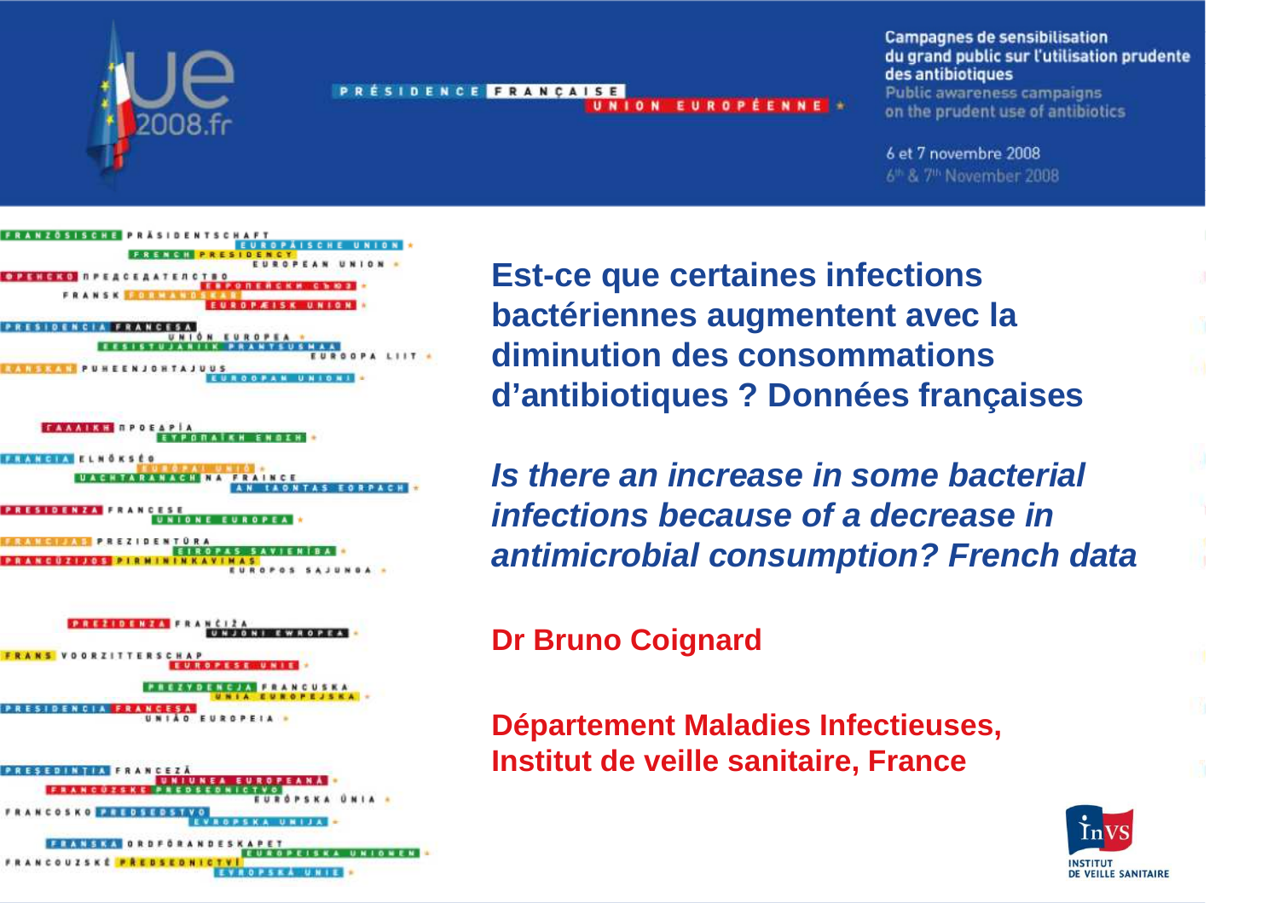

PRÉSIDENCE FRANCAISE UNION EUROPÉENNE \* **Campagnes de sensibilisation** du grand public sur l'utilisation prudente des antibiotiques **Public awareness campaigns** on the prudent use of antibiotics

6 et 7 novembre 2008 6<sup>th</sup> & 7<sup>th</sup> November 2008

**OPENERS NPEACEA ATERCTRO** UNIÓN EUROPEA **GPALIIT IONISSON PUHEENJOHTAJUUS** 







**Est-ce que certaines infections bactériennes augmentent avec la diminution des consommations d'antibiotiques ? Données françaises** 

**Is there an increase in some bacterial infections because of a decrease in antimicrobial consumption? French data**

**Dr Bruno Coignard** 

**Département Maladies Infectieuses, Institut de veille sanitaire, France** 

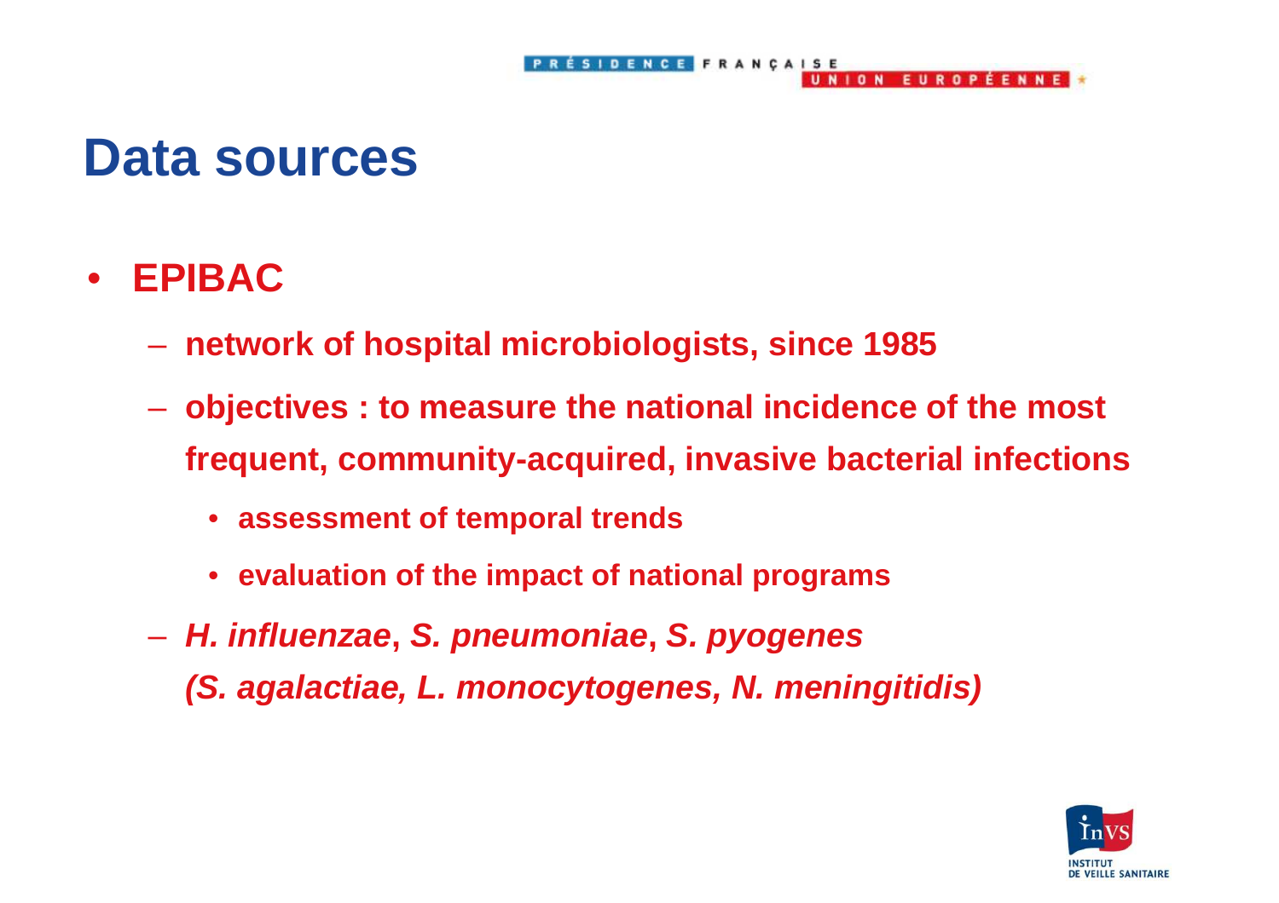#### **Data sources**

- $\bullet$  **EPIBAC** 
	- –**network of hospital microbiologists, since 1985**
	- – **objectives : to measure the national incidence of the most frequent, community-acquired, invasive bacterial infections**

ÉSIDENCE FRANÇAISE

UNION EUROPÉENNE

- **assessment of temporal trends**
- **evaluation of the impact of national programs**
- **H. influenzae, S. pneumoniae, S. pyogenes (S. agalactiae, L. monocytogenes, N. meningitidis)**

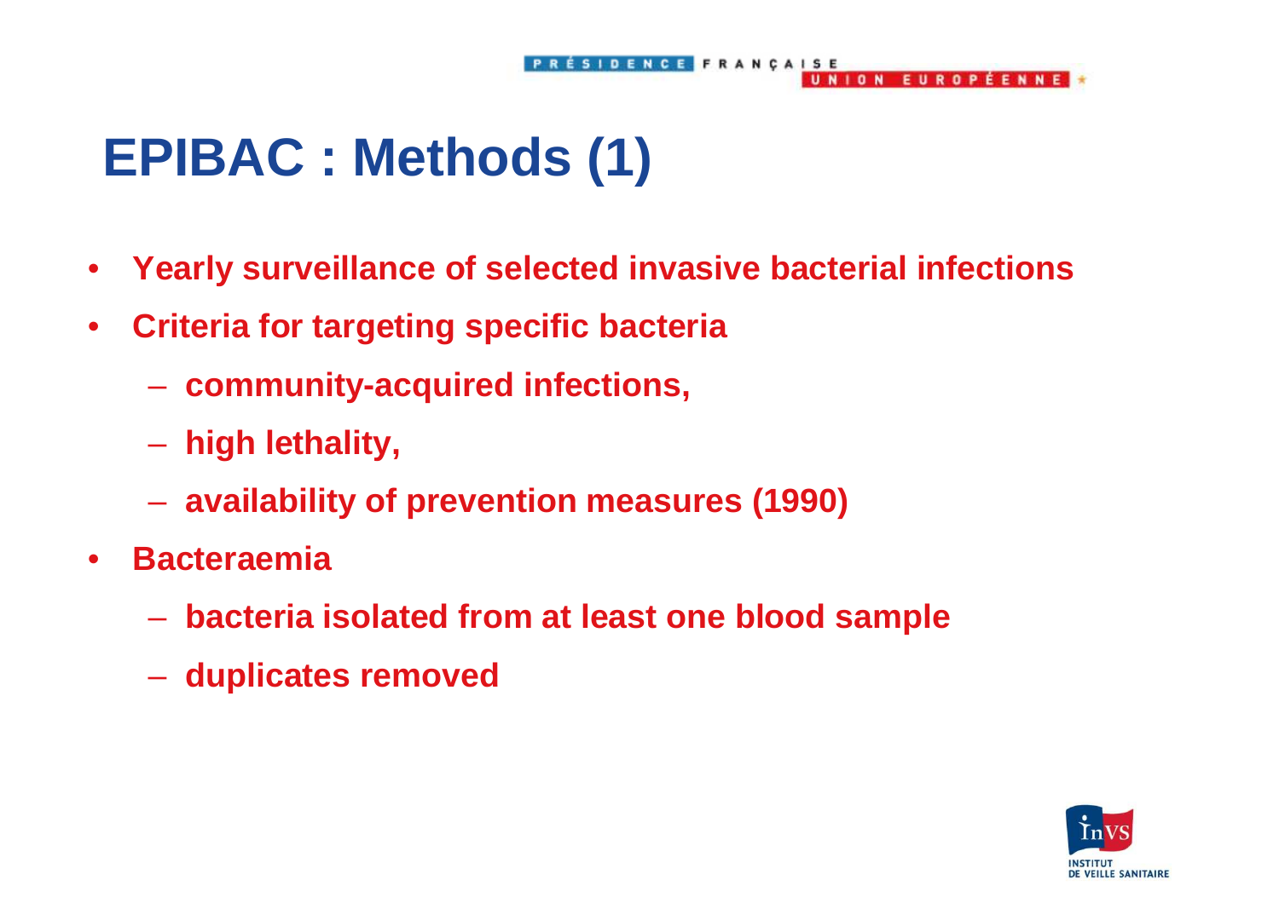## **EPIBAC : Methods (1)**

 $\bullet$ **Yearly surveillance of selected invasive bacterial infections**

SIDENCE FRANÇAISE

UNION EUROPÉENNE

- $\bullet$  **Criteria for targeting specific bacteria** 
	- **community-acquired infections,**
	- **high lethality,**
	- **Holland** and the control **availability of prevention measures (1990)**
- $\bullet$  **Bacteraemia** 
	- **bacteria isolated from at least one blood sample**
	- **duplicates removed**

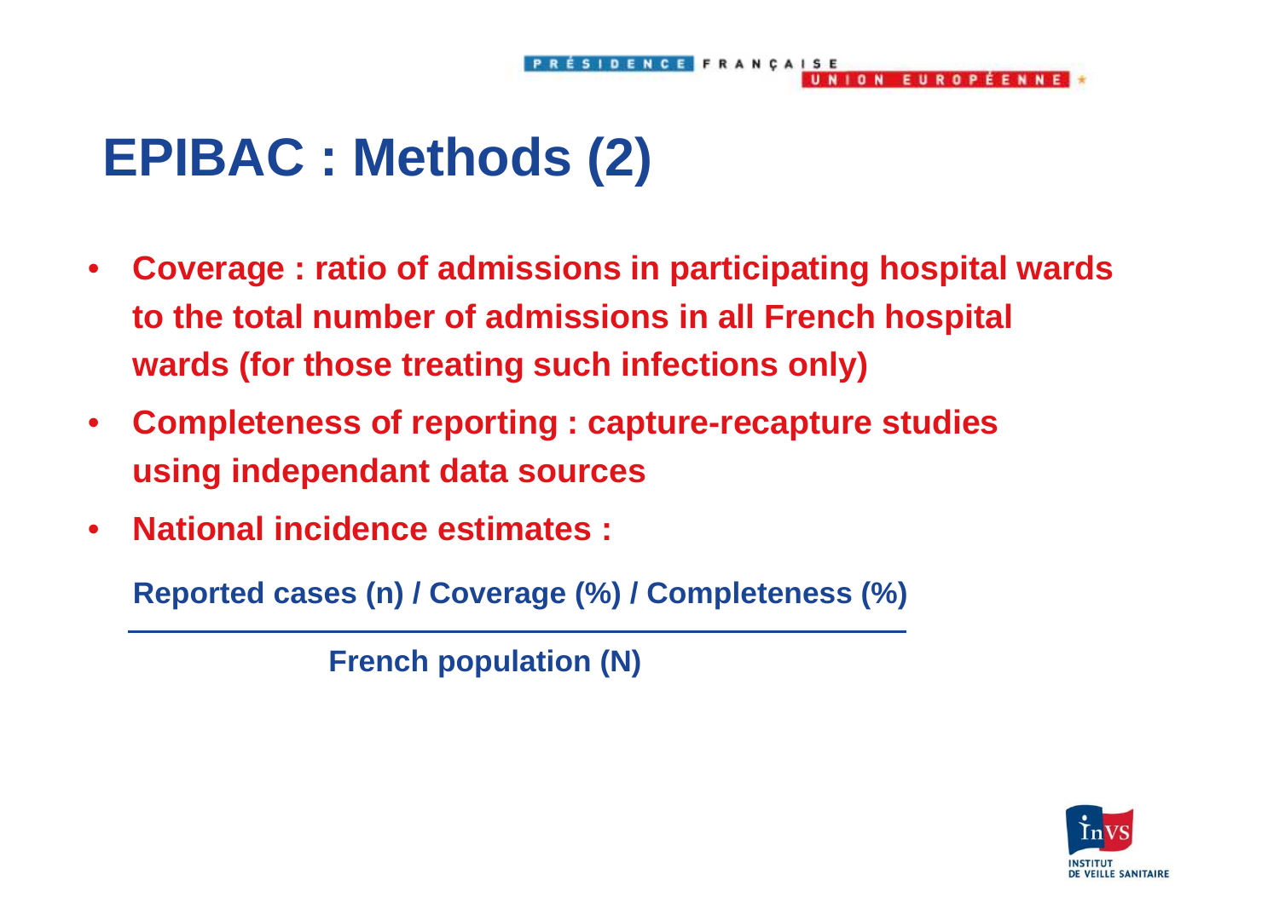## **EPIBAC : Methods (2)**

 $\bullet$  **Coverage : ratio of admissions in participating hospital wards to the total number of admissions in all French hospital wards (for those treating such infections only)** 

**IDENCE FRANÇAISE** 

UNION FUROPFENNEL

- **Completeness of reporting : capture-recapture studies using independant data sources**
- $\bullet$ **National incidence estimates :**

**Reported cases (n) / Coverage (%) / Completeness (%)** 

**French population (N)** 

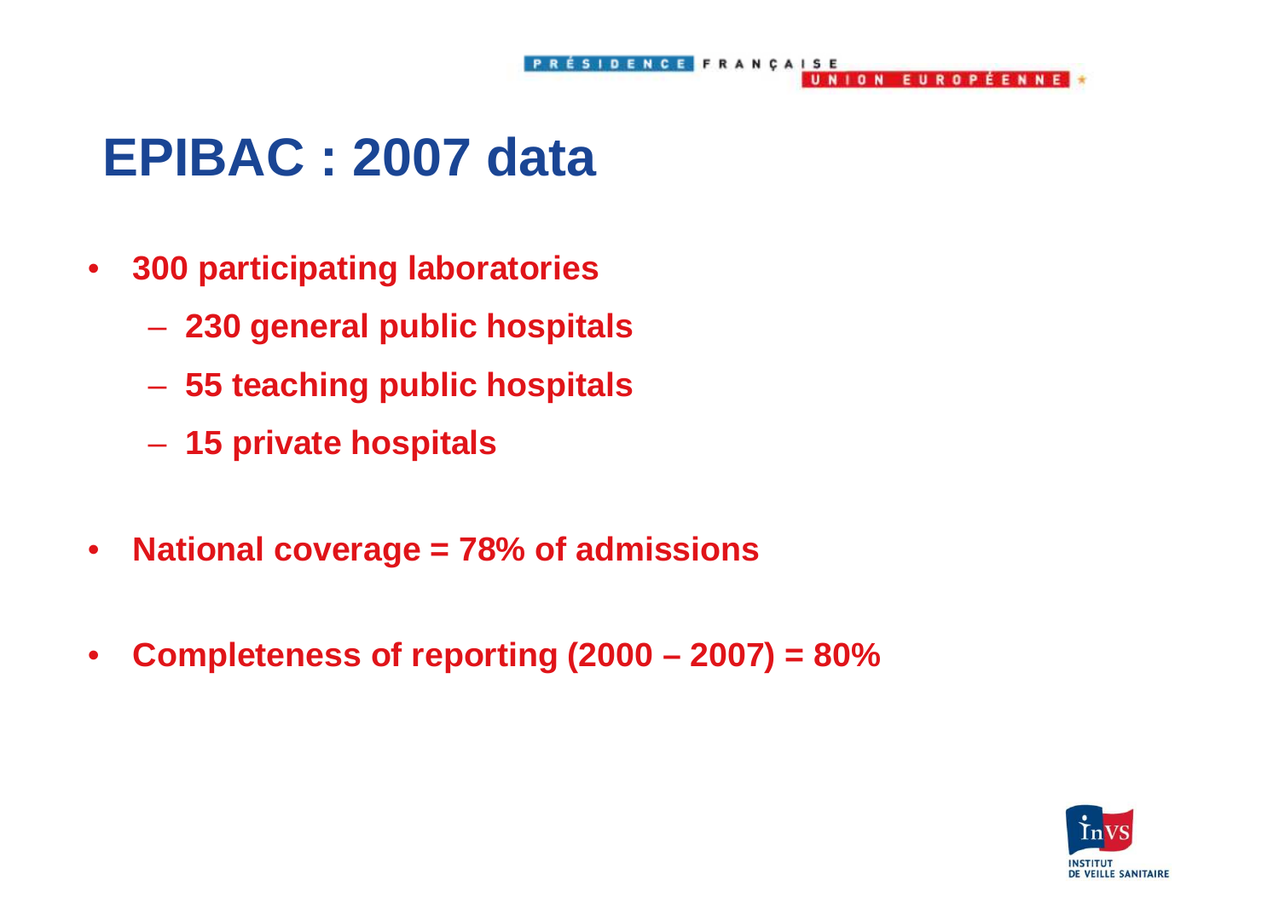### **EPIBAC : 2007 data**

- $\bullet$  **300 participating laboratories** 
	- **230 general public hospitals**
	- **55 teaching public hospitals**
	- **15 private hospitals**
- $\bullet$ **National coverage = 78% of admissions**
- $\bullet$ **Completeness of reporting (2000 – 2007) = 80%**

**IDENCE FRANCAISE** 

NION EUROPÉENNE

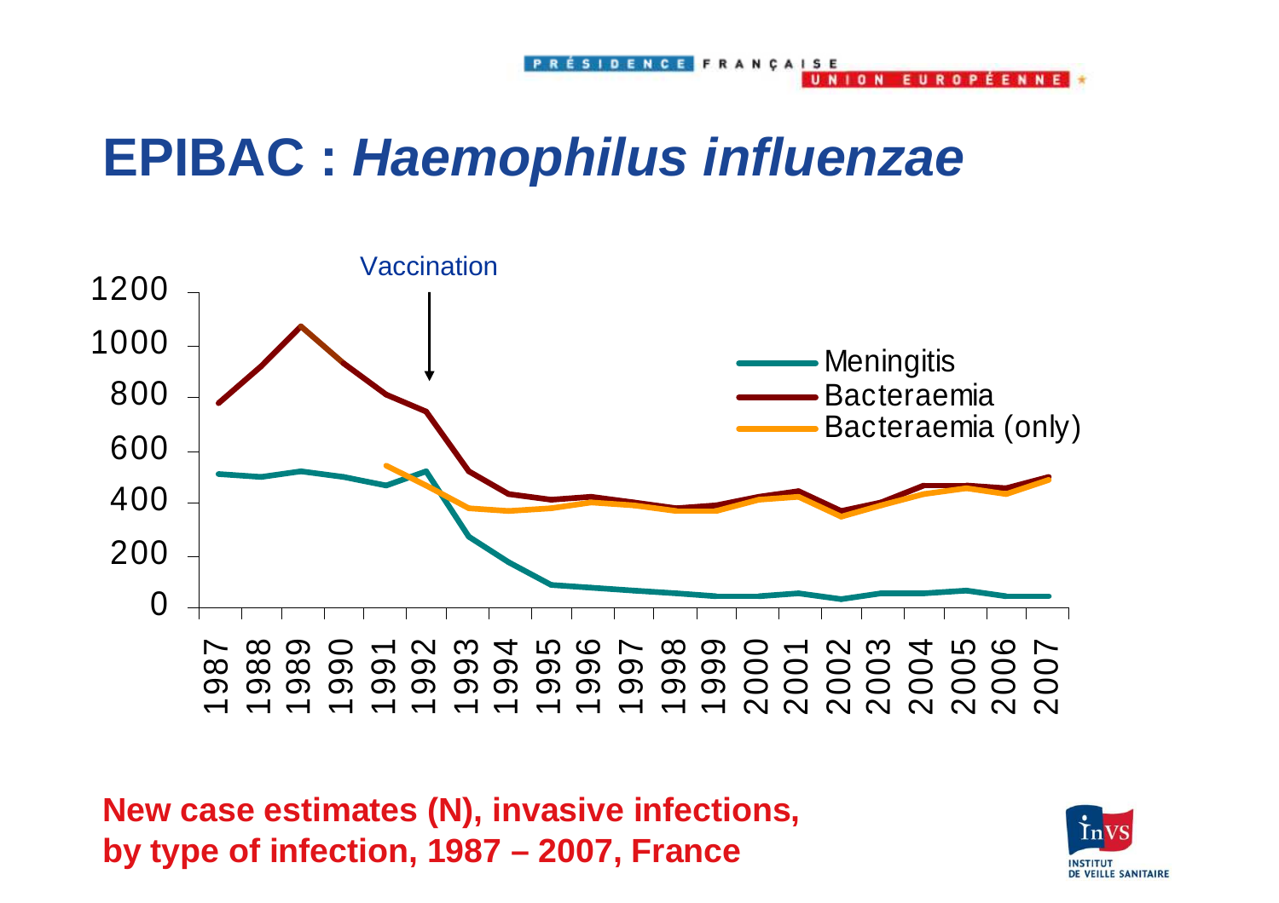## **EPIBAC : Haemophilus influenzae**



**New case estimates (N), invasive infections, by type of infection, 1987 – 2007, France** 



**EUPOPFFMME**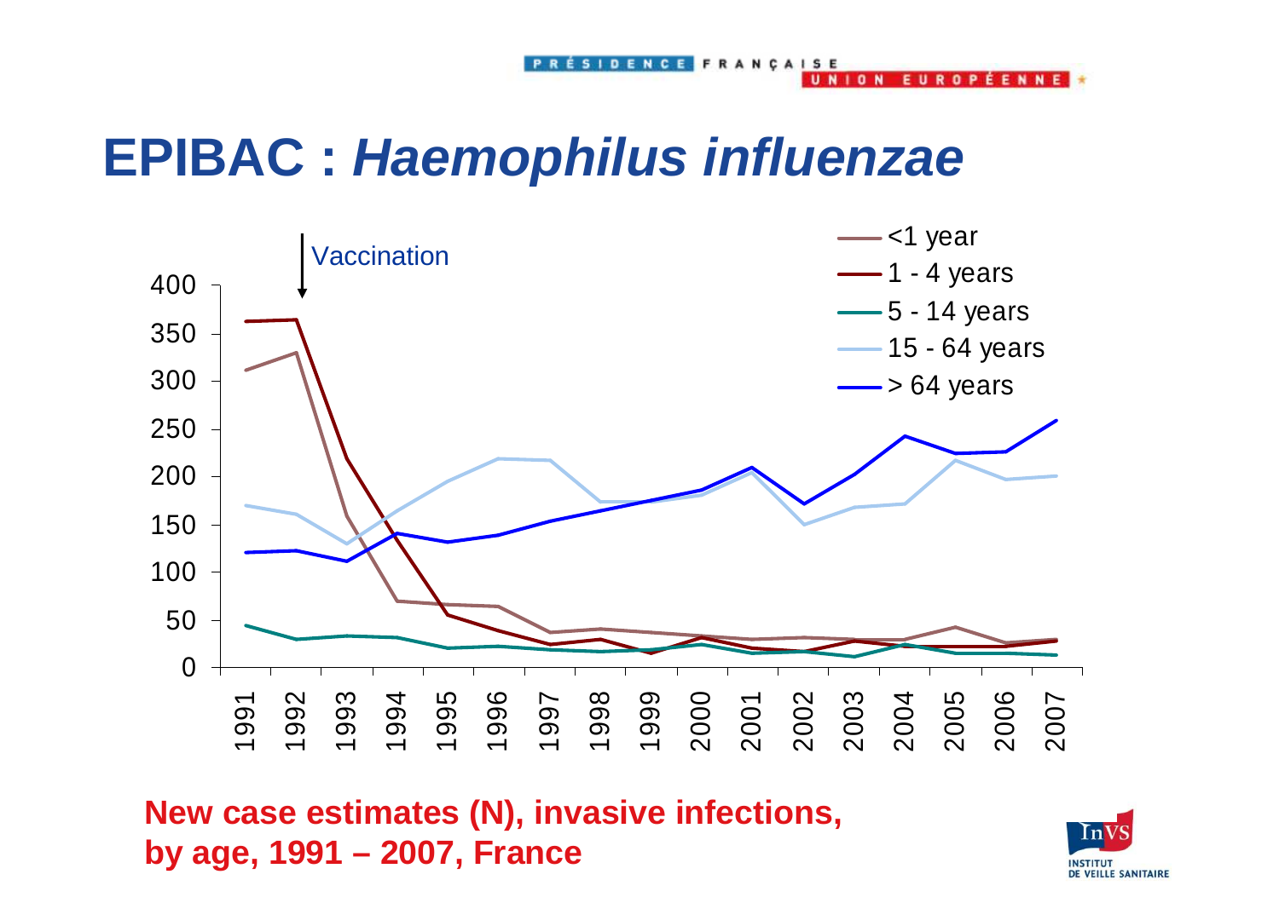#### **EPIBAC : Haemophilus influenzae**



**New case estimates (N), invasive infections, by age, 1991 – 2007, France** 



**FUROPFFNNF**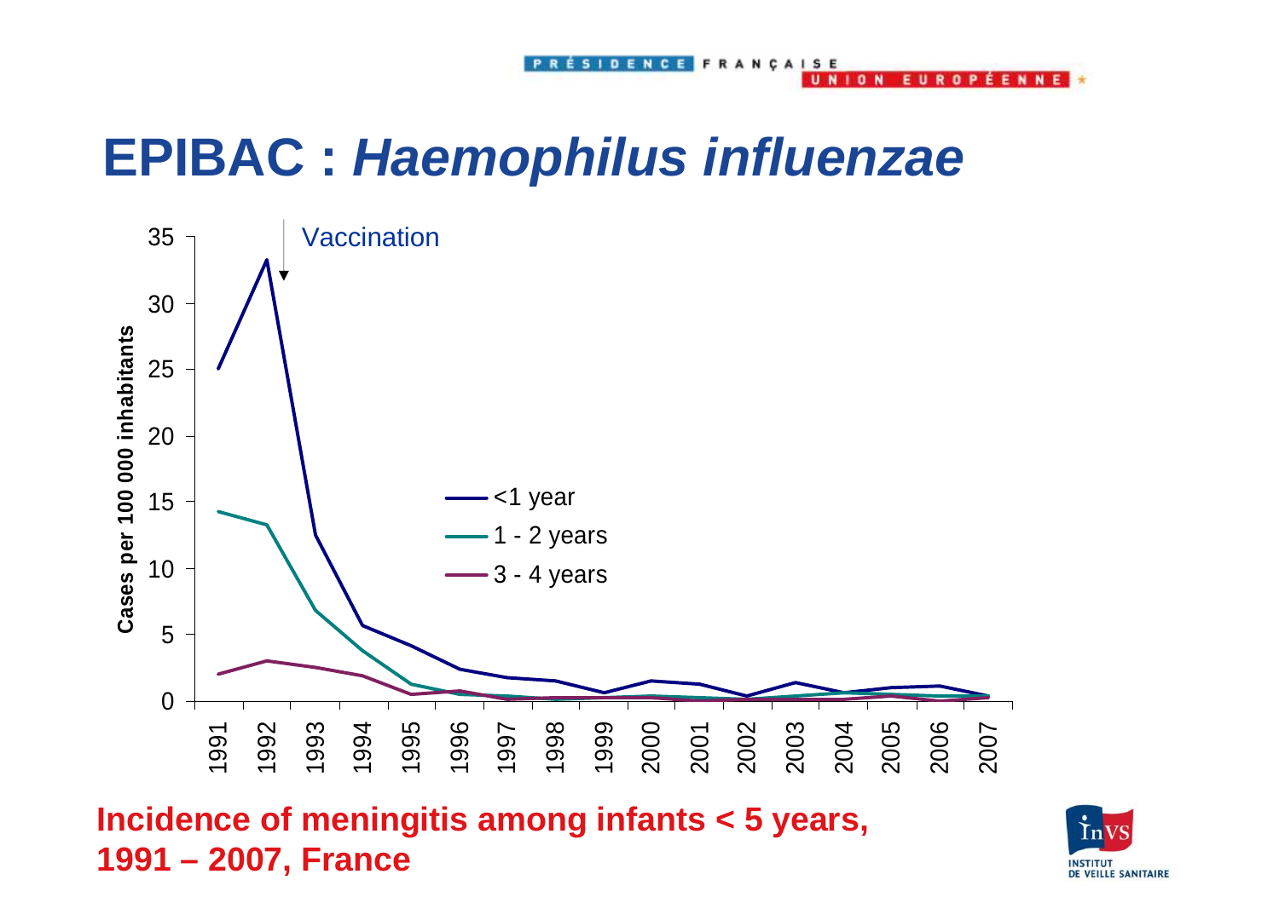#### **EPIBAC : Haemophilus influenzae**



**Incidence of meningitis among infants < 5 years, 1991 – 2007, France** 

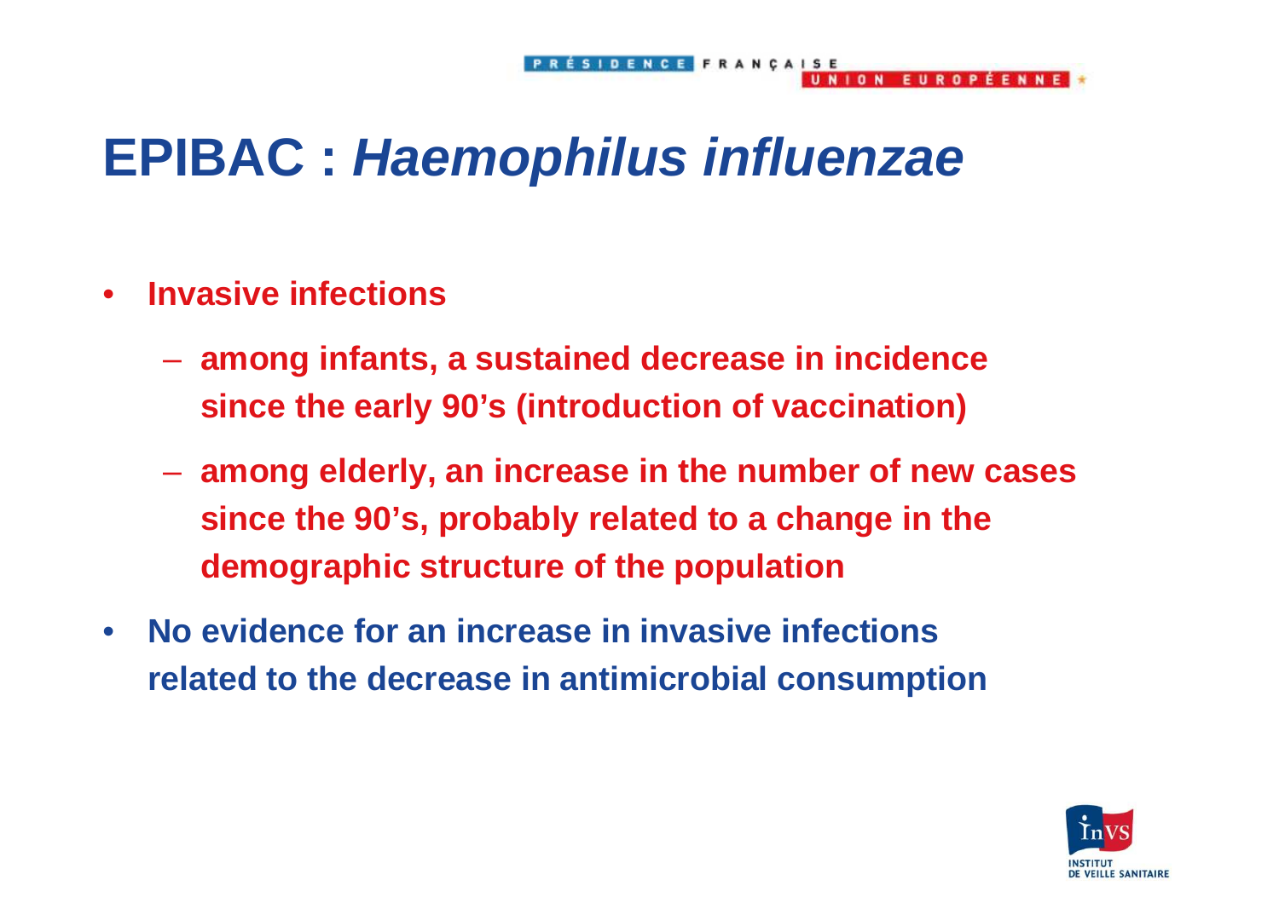**IDENCE FRANCAISE** 

**FUROPFFNNF** 

#### **EPIBAC : Haemophilus influenzae**

- $\bullet$  **Invasive infections** 
	- **among infants, a sustained decrease in incidence since the early 90's (introduction of vaccination)**
	- **among elderly, an increase in the number of new cases since the 90's, probably related to a change in thedemographic structure of the population**
- $\bullet$  **No evidence for an increase in invasive infections related to the decrease in antimicrobial consumption**

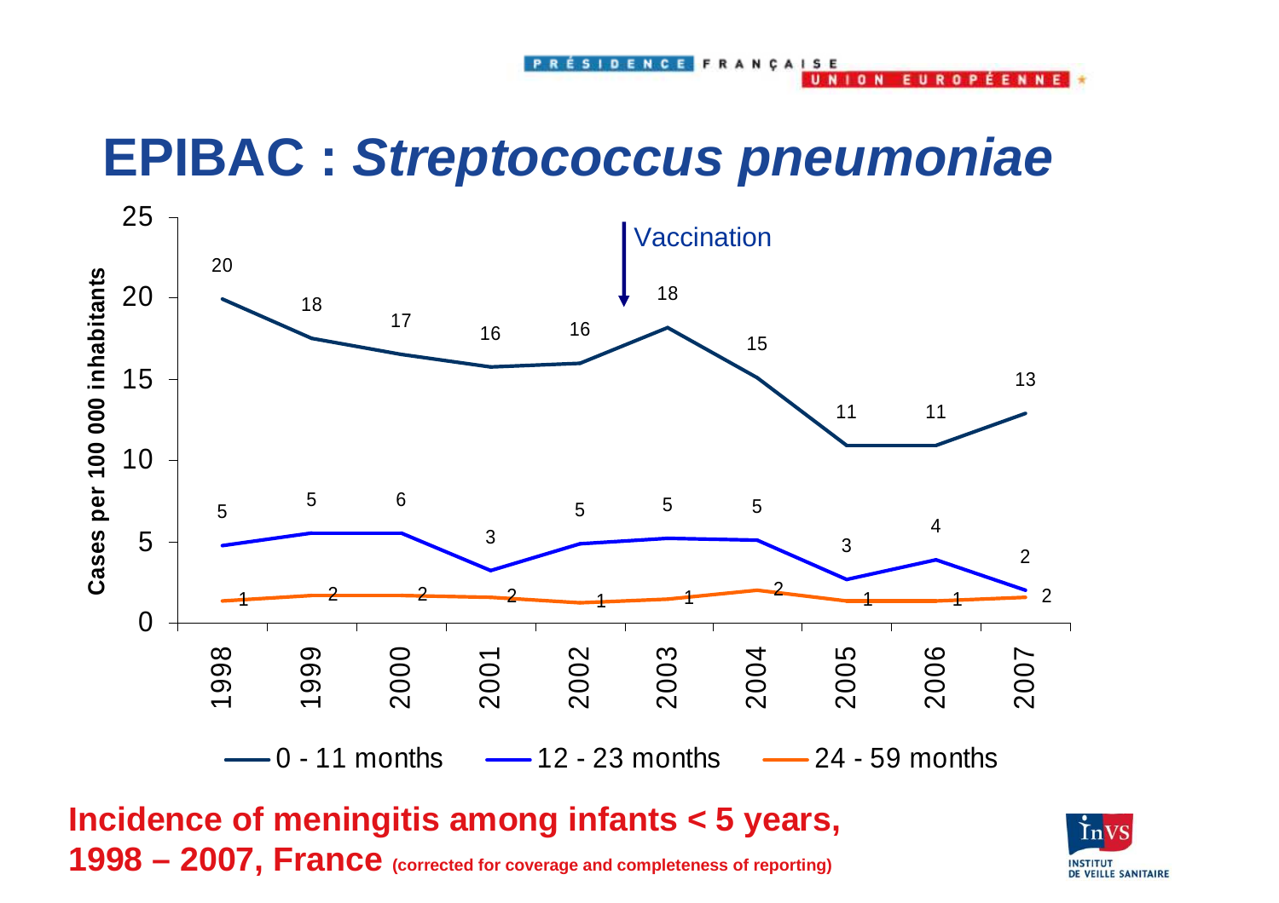## **EPIBAC : Streptococcus pneumoniae**

SIDENCE FRANCAIS

 $10N$ 

E II P

 $n<sub>p</sub>$ 

**EENNE** 



**Incidence of meningitis among infants < 5 years, 1998 – 2007, France (corrected for coverage and completeness of reporting)** 

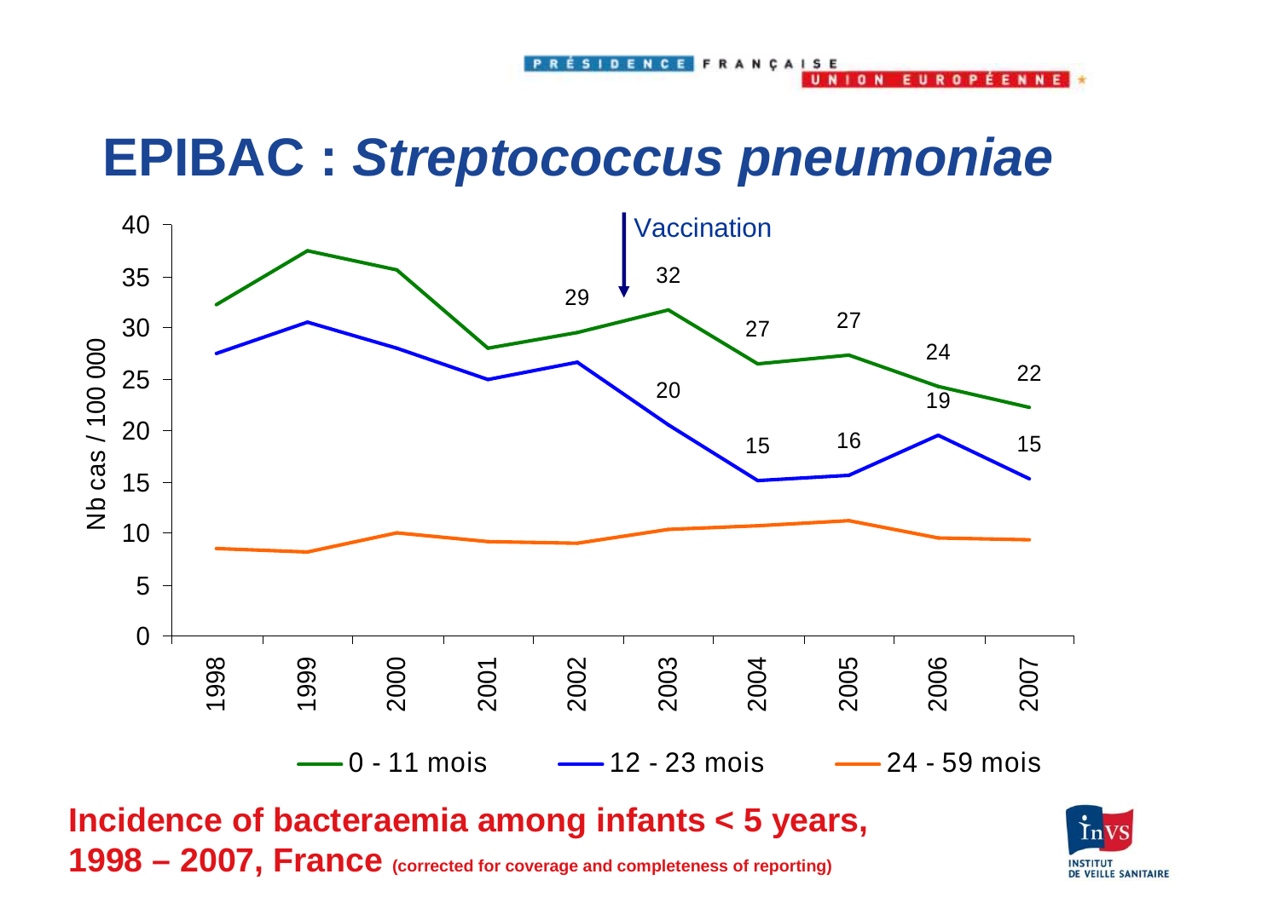SIDENCE FRANCAIS

#### **EPIBAC : Streptococcus pneumoniae**



**Incidence of bacteraemia among infants < 5 years, 1998 – 2007, France (corrected for coverage and completeness of reporting)** 



**CMM** 

 $\mathbf{a}$ 

 $10W$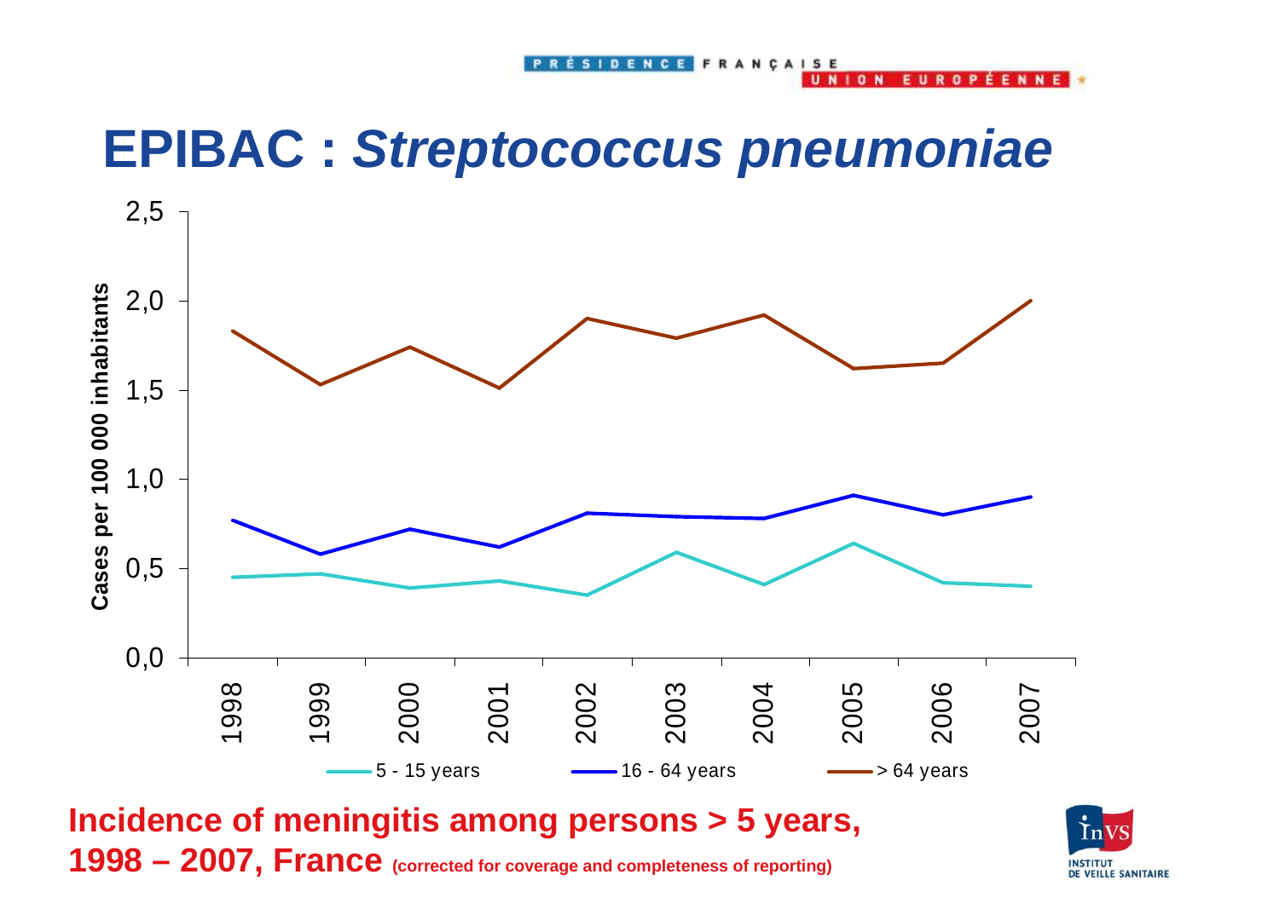$10N$ 

 $\mathbf{a}$ 

### **EPIBAC : Streptococcus pneumoniae**



**Incidence of meningitis among persons > 5 years, 1998 – 2007, France (corrected for coverage and completeness of reporting)** 

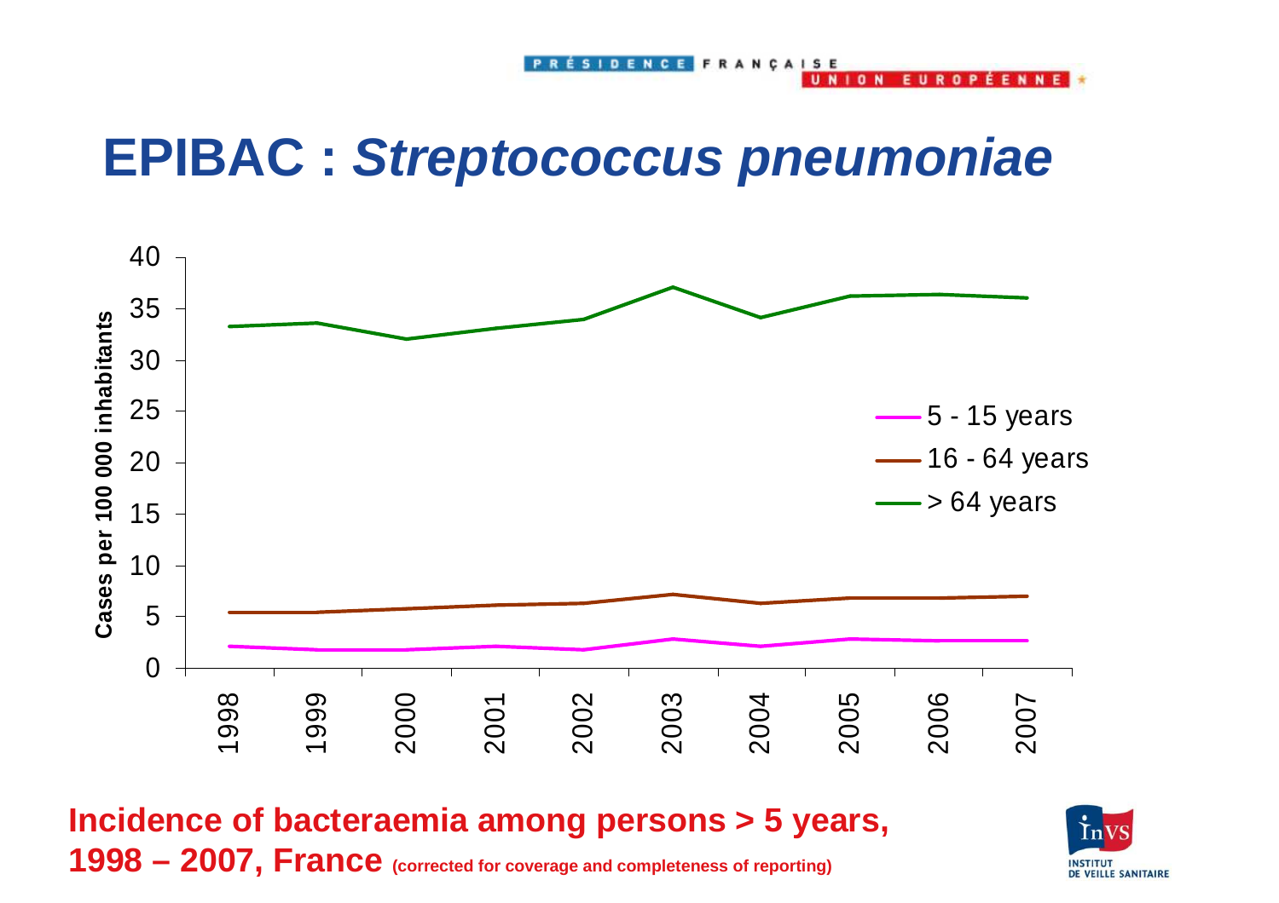**NION** 

**EUROPÉENNE** 

#### **EPIBAC : Streptococcus pneumoniae**



**Incidence of bacteraemia among persons > 5 years, 1998 – 2007, France (corrected for coverage and completeness of reporting)** 

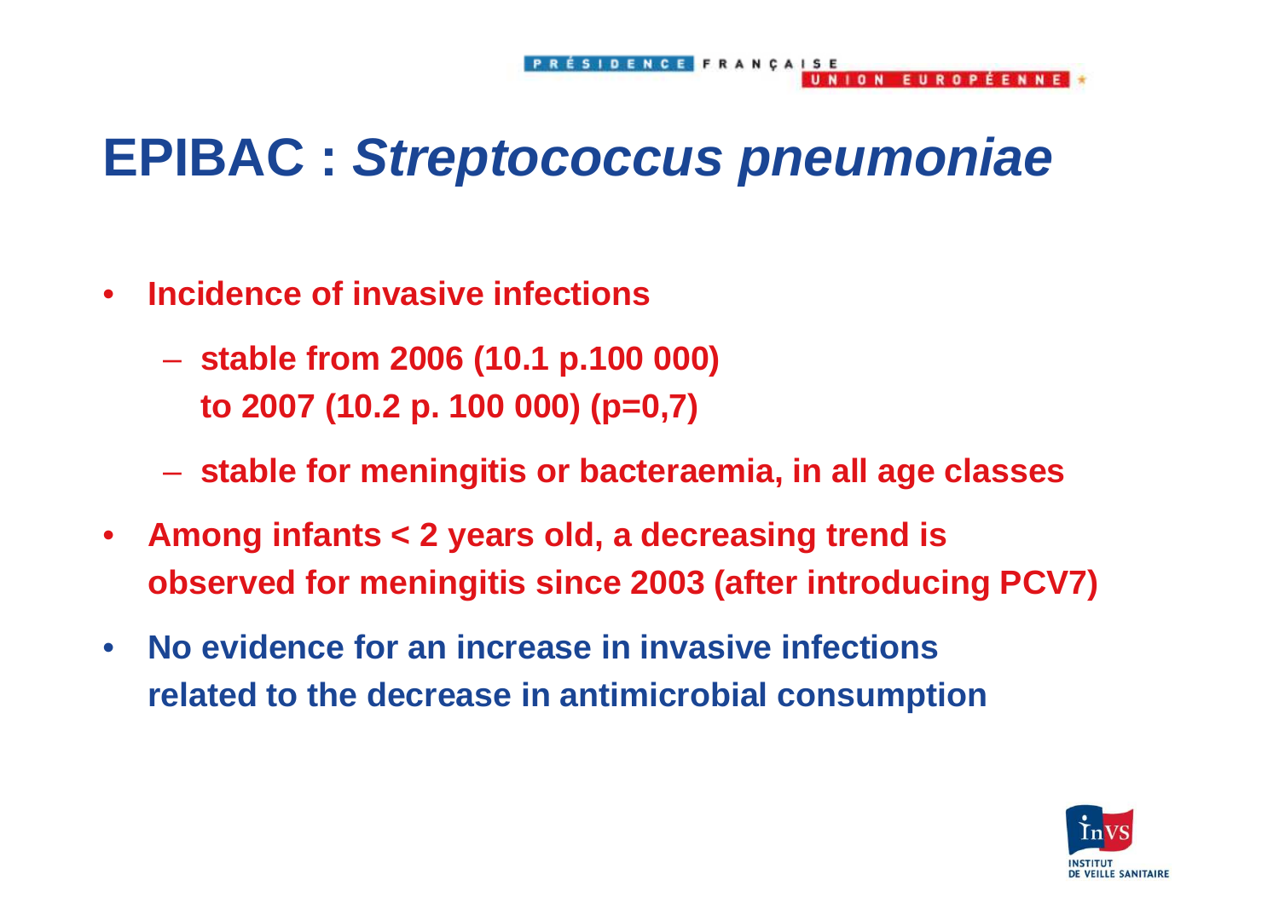#### **EPIBAC : Streptococcus pneumoniae**

- $\bullet$  **Incidence of invasive infections** 
	- **stable from 2006 (10.1 p.100 000) to 2007 (10.2 p. 100 000) (p=0,7)**
	- **stable for meningitis or bacteraemia, in all age classes**
- $\bullet$  **Among infants < 2 years old, a decreasing trend is observed for meningitis since 2003 (after introducing PCV7)**
- $\bullet$  **No evidence for an increase in invasive infections related to the decrease in antimicrobial consumption**



**FUROPEENNE**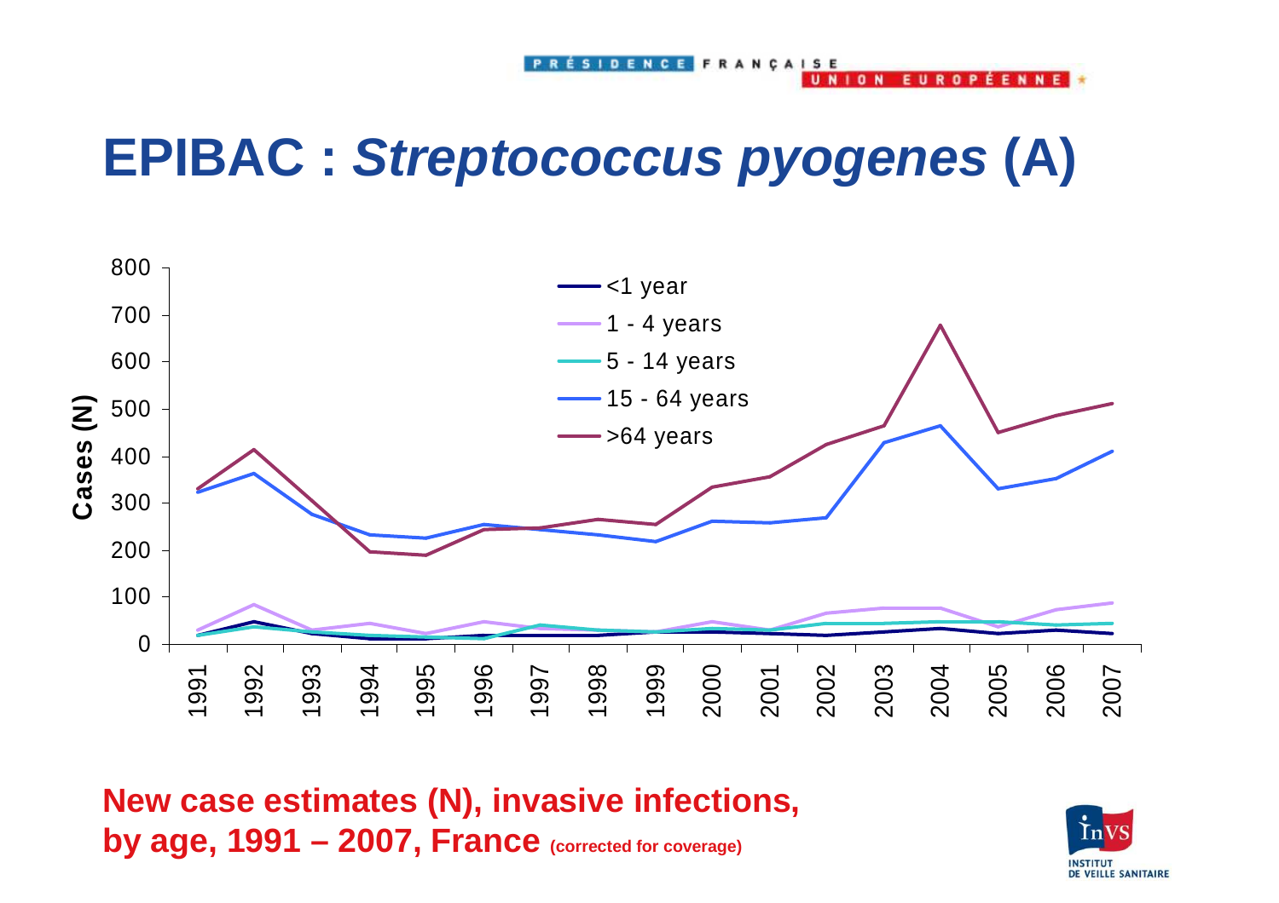**NION** 

**FUROPFFNNF** 

## **EPIBAC : Streptococcus pyogenes (A)**



**New case estimates (N), invasive infections, by age, 1991 – 2007, France (corrected for coverage)** 

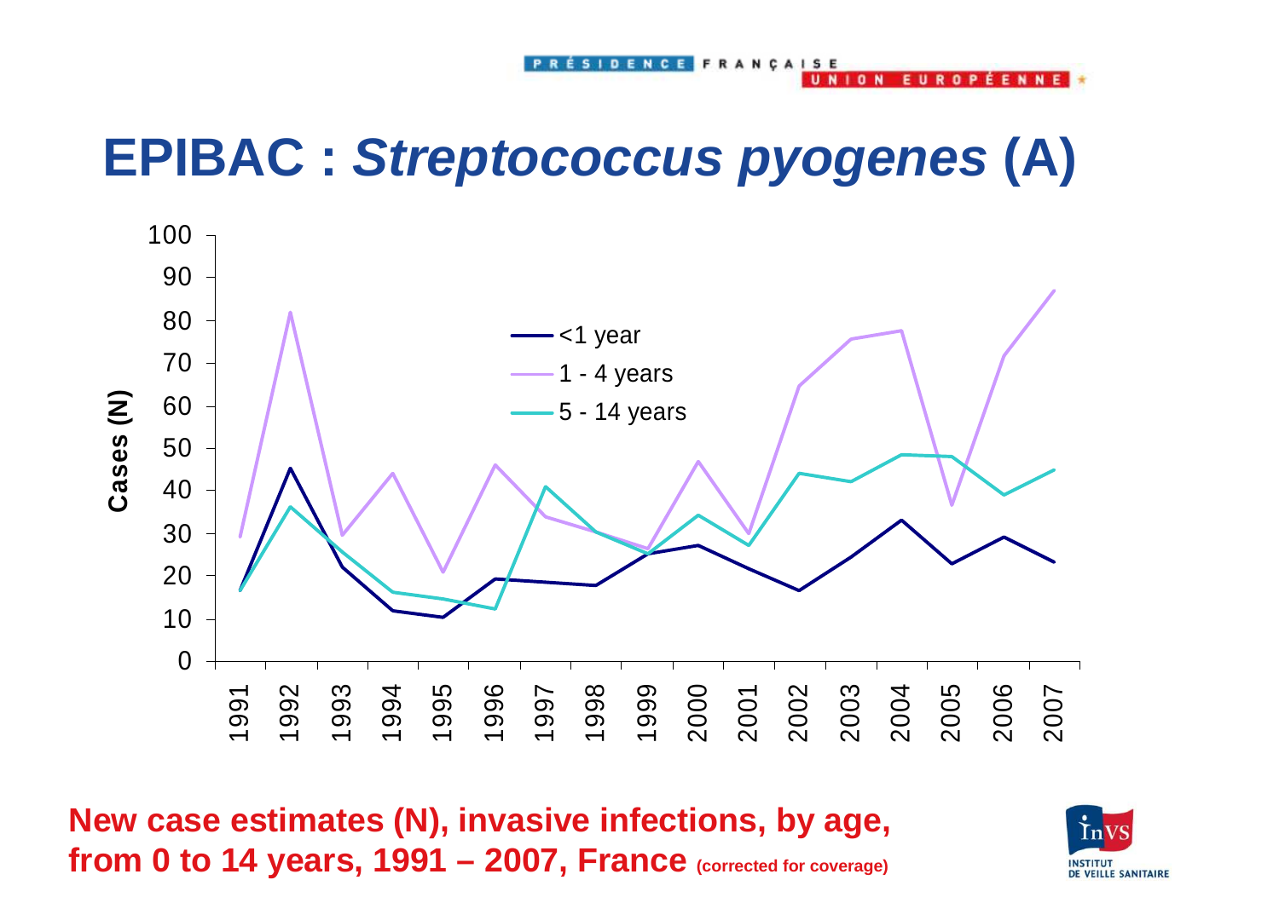$1<sub>n</sub>$  N

 $\mathbf{a}$ 

## **EPIBAC : Streptococcus pyogenes (A)**



**New case estimates (N), invasive infections, by age, from 0 to 14 years, 1991 – 2007, France (corrected for coverage)** 

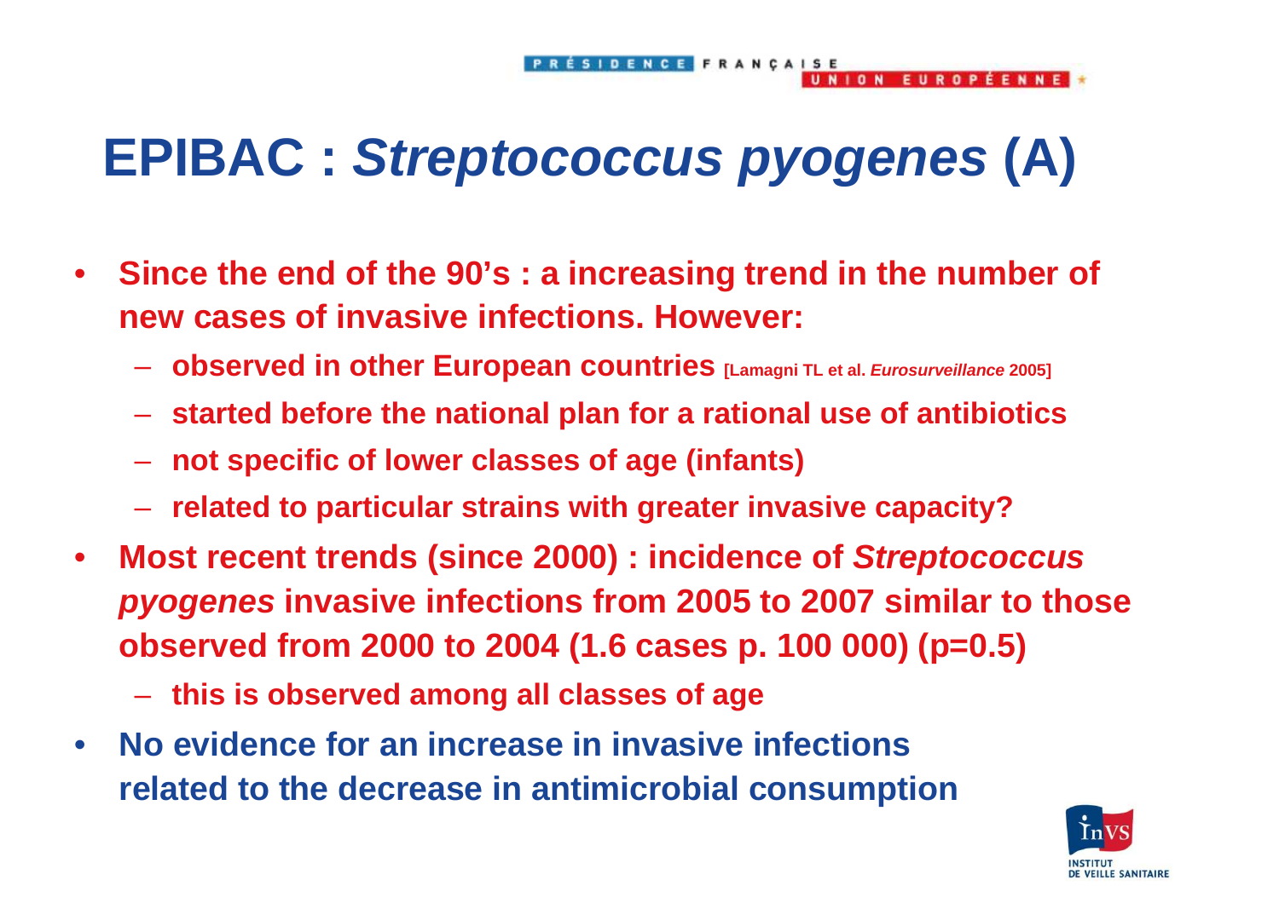## **EPIBAC : Streptococcus pyogenes (A)**

- $\bullet$  **Since the end of the 90's : a increasing trend in the number of new cases of invasive infections. However:** 
	- **Line Common observed in other European countries [Lamagni TL et al. Eurosurveillance 2005]**
	- –**started before the national plan for a rational use of antibiotics**
	- **Hart Committee not specific of lower classes of age (infants)**
	- **Line Common related to particular strains with greater invasive capacity?**
- $\bullet$  **Most recent trends (since 2000) : incidence of Streptococcus pyogenes invasive infections from 2005 to 2007 similar to those observed from 2000 to 2004 (1.6 cases p. 100 000) (p=0.5)** 
	- **Line Common this is observed among all classes of age**
- $\bullet$  **No evidence for an increase in invasive infections related to the decrease in antimicrobial consumption**



**FUROPEENNE**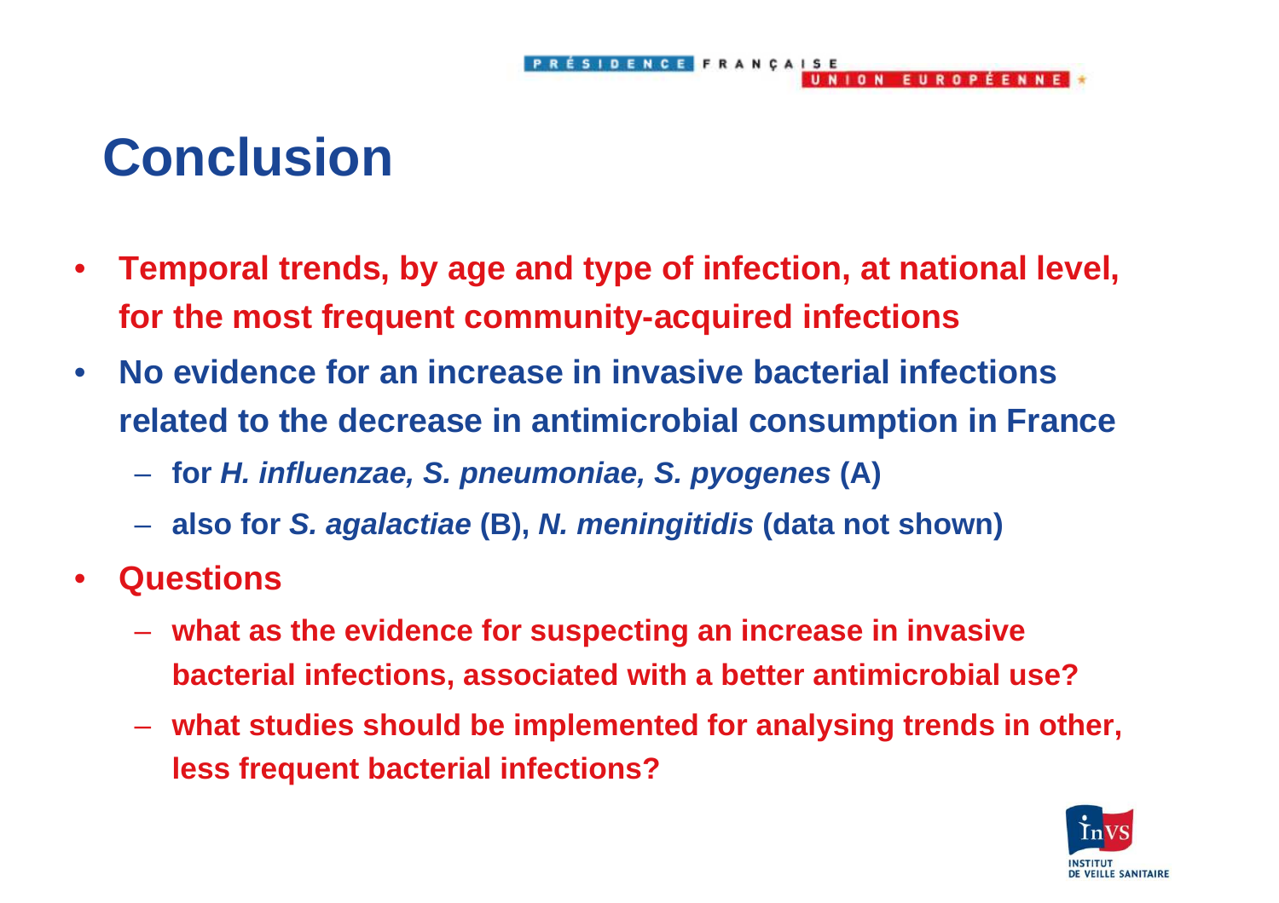# **Conclusion**

• **Temporal trends, by age and type of infection, at national level, for the most frequent community-acquired infections**

ÉSIDENCE FRANÇAISE

UNION EUROPÉENNE

- $\bullet$  **No evidence for an increase in invasive bacterial infections related to the decrease in antimicrobial consumption in France** 
	- **Hart Communication for H. influenzae, S. pneumoniae, S. pyogenes (A)**
	- –**also for S. agalactiae (B), N. meningitidis (data not shown)**
- $\bullet$  **Questions** 
	- – **what as the evidence for suspecting an increase in invasive bacterial infections, associated with a better antimicrobial use?**
	- **Hart Committee what studies should be implemented for analysing trends in other, less frequent bacterial infections?**

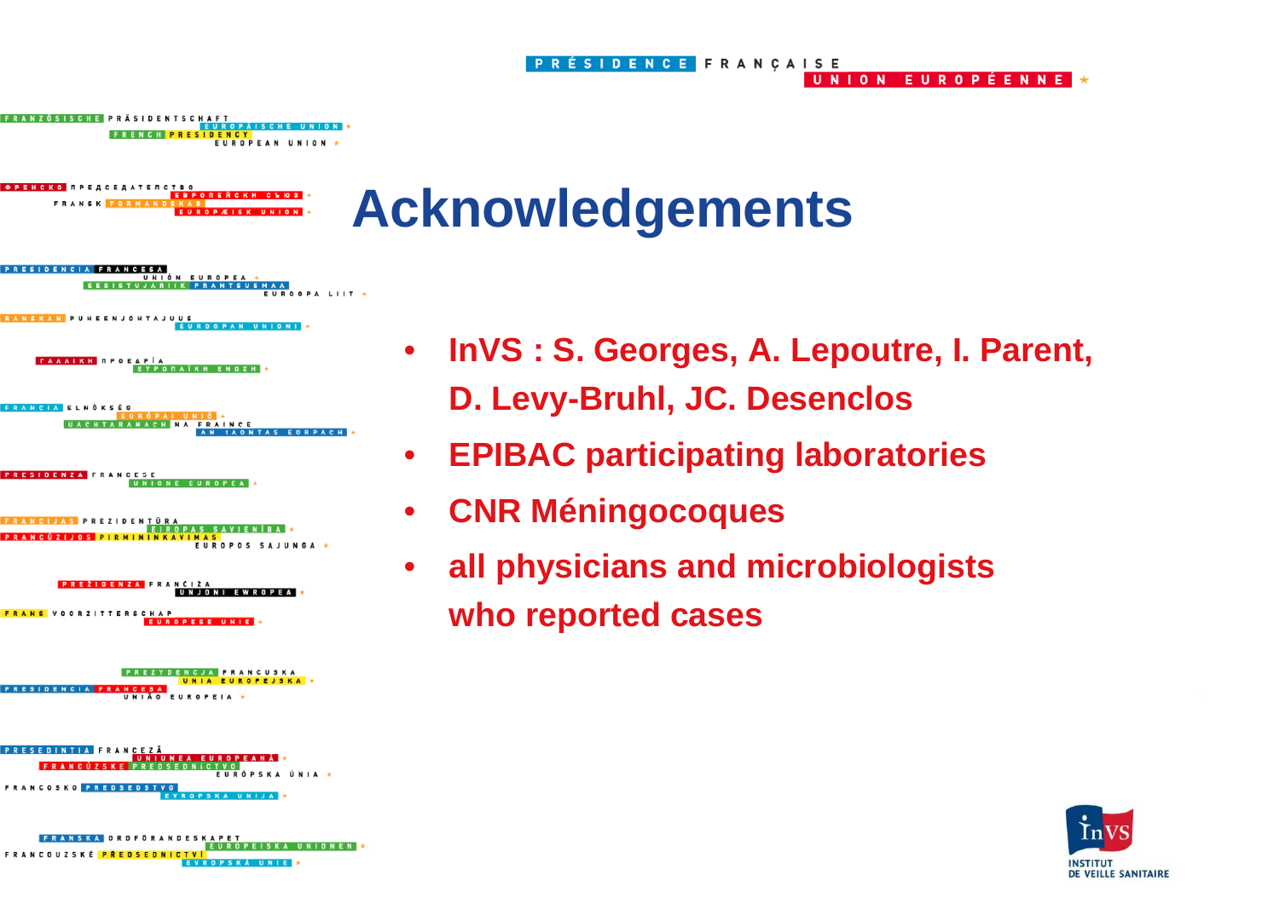



**EUROPEAN UNIO** 







**UNIONEN EVROPSKÁ UNIE** 

- • **InVS : S. Georges, A. Lepoutre, I. Parent, D. Levy-Bruhl, JC. Desenclos**
- $\bullet$ **EPIBAC participating laboratories**
- •**CNR Méningocoques**
- • **all physicians and microbiologists who reported cases**

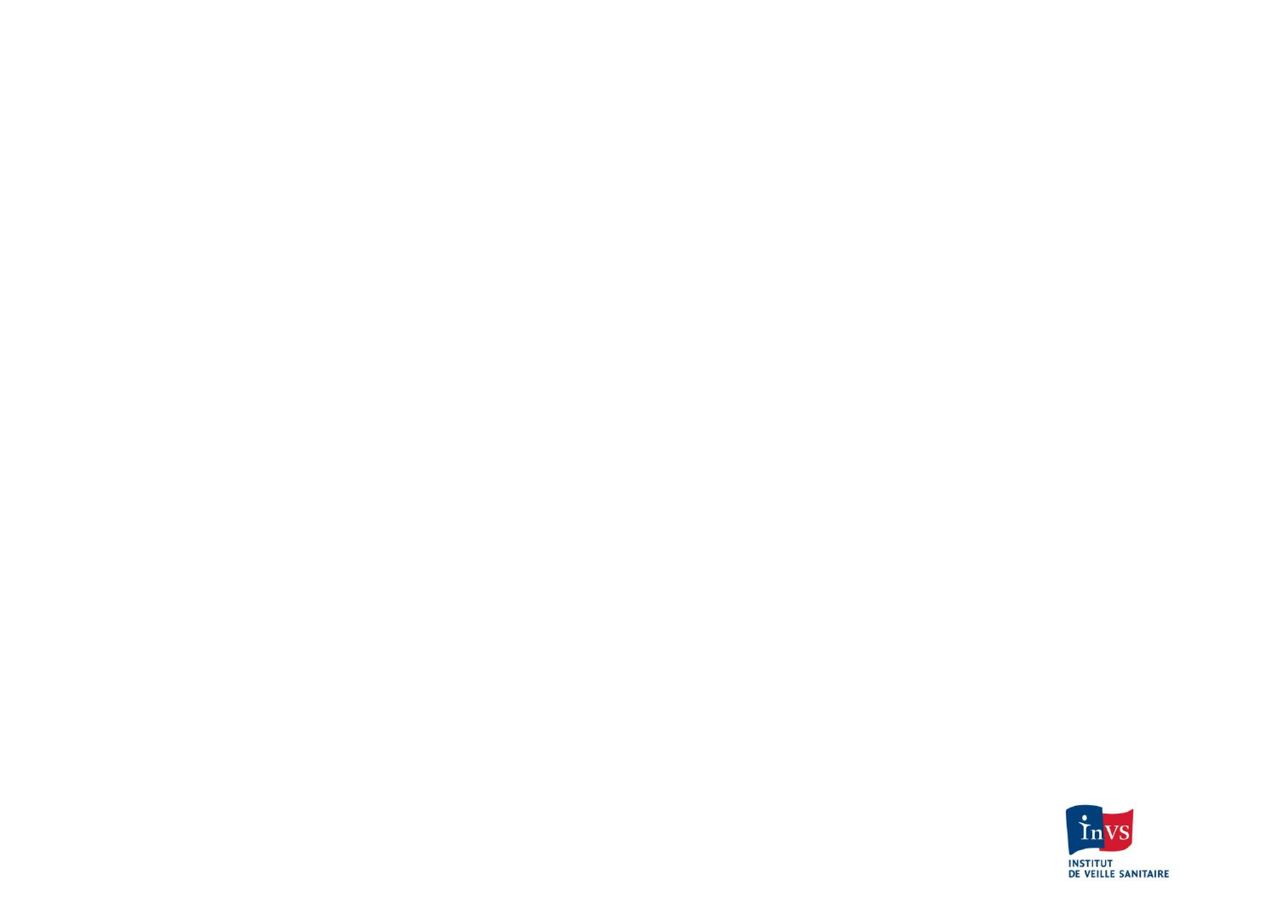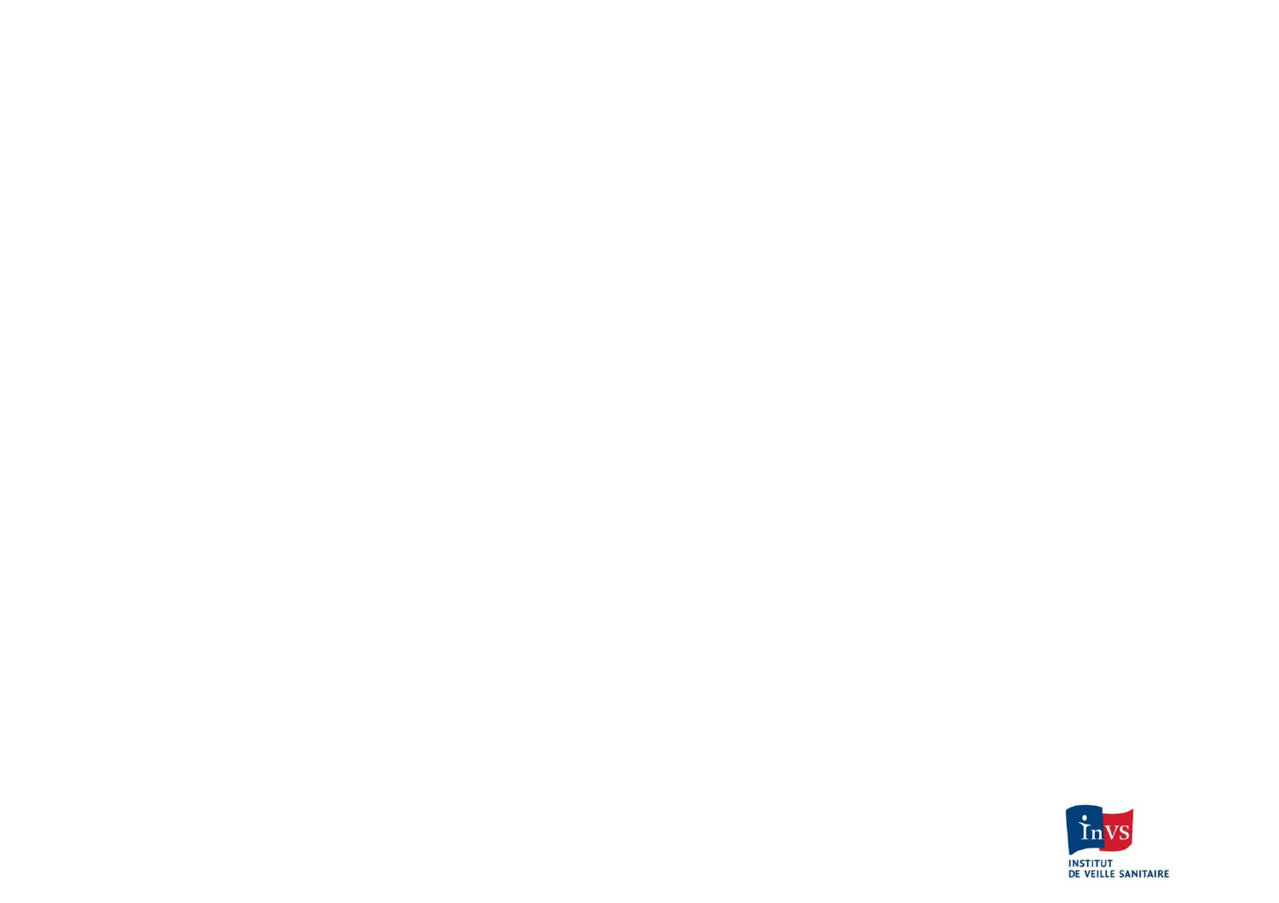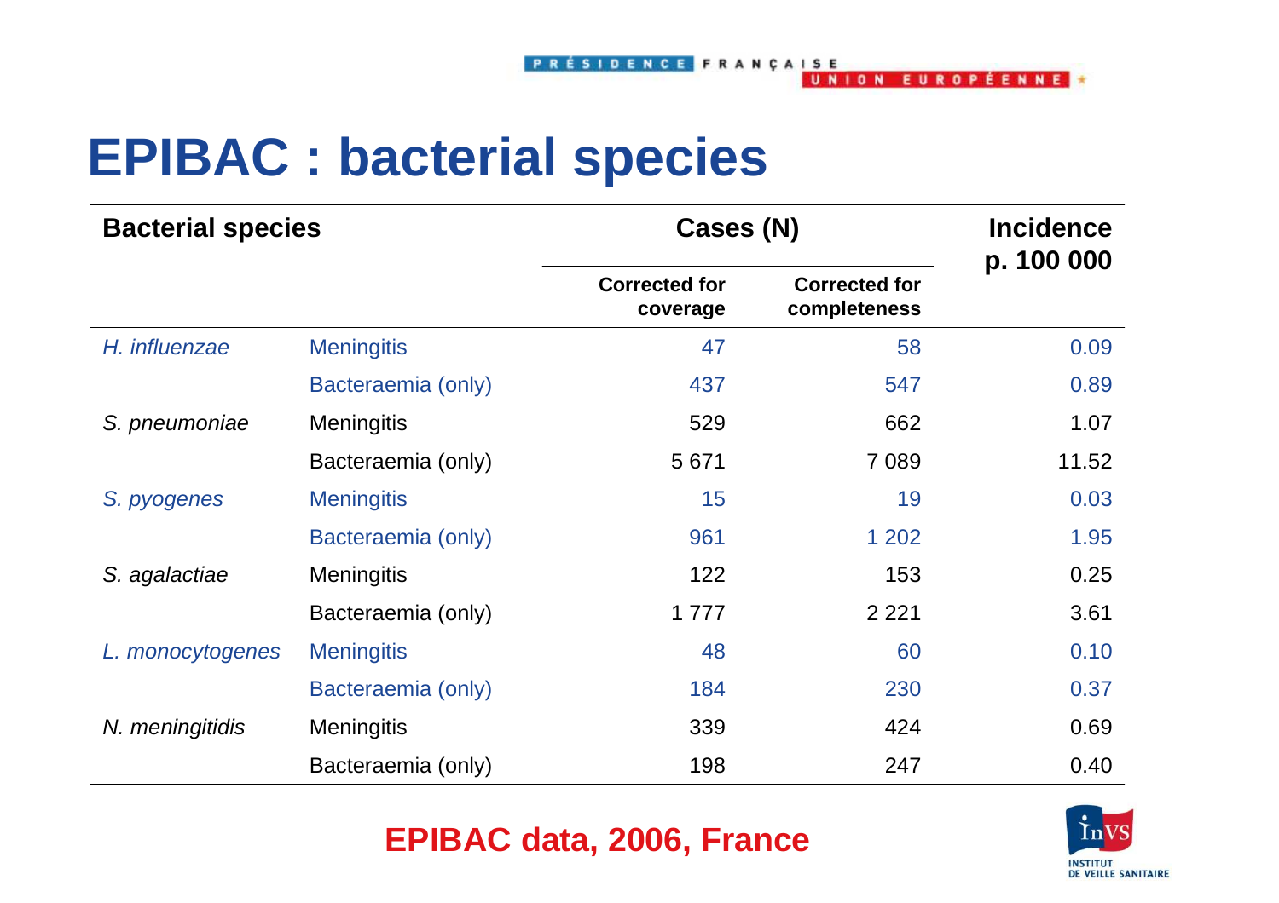## **EPIBAC : bacterial species**

| <b>Bacterial species</b> |                    | Cases (N)                        |                                      | <b>Incidence</b><br>p. 100 000 |  |
|--------------------------|--------------------|----------------------------------|--------------------------------------|--------------------------------|--|
|                          |                    | <b>Corrected for</b><br>coverage | <b>Corrected for</b><br>completeness |                                |  |
| H. influenzae            | <b>Meningitis</b>  | 47                               | 58                                   | 0.09                           |  |
|                          | Bacteraemia (only) | 437                              | 547                                  | 0.89                           |  |
| S. pneumoniae            | <b>Meningitis</b>  | 529                              | 662                                  | 1.07                           |  |
|                          | Bacteraemia (only) | 5671                             | 7 0 8 9                              | 11.52                          |  |
| S. pyogenes              | <b>Meningitis</b>  | 15                               | 19                                   | 0.03                           |  |
|                          | Bacteraemia (only) | 961                              | 1 202                                | 1.95                           |  |
| S. agalactiae            | <b>Meningitis</b>  | 122                              | 153                                  | 0.25                           |  |
|                          | Bacteraemia (only) | 1777                             | 2 2 2 1                              | 3.61                           |  |
| L. monocytogenes         | <b>Meningitis</b>  | 48                               | 60                                   | 0.10                           |  |
|                          | Bacteraemia (only) | 184                              | 230                                  | 0.37                           |  |
| N. meningitidis          | <b>Meningitis</b>  | 339                              | 424                                  | 0.69                           |  |
|                          | Bacteraemia (only) | 198                              | 247                                  | 0.40                           |  |

#### **EPIBAC data, 2006, France**

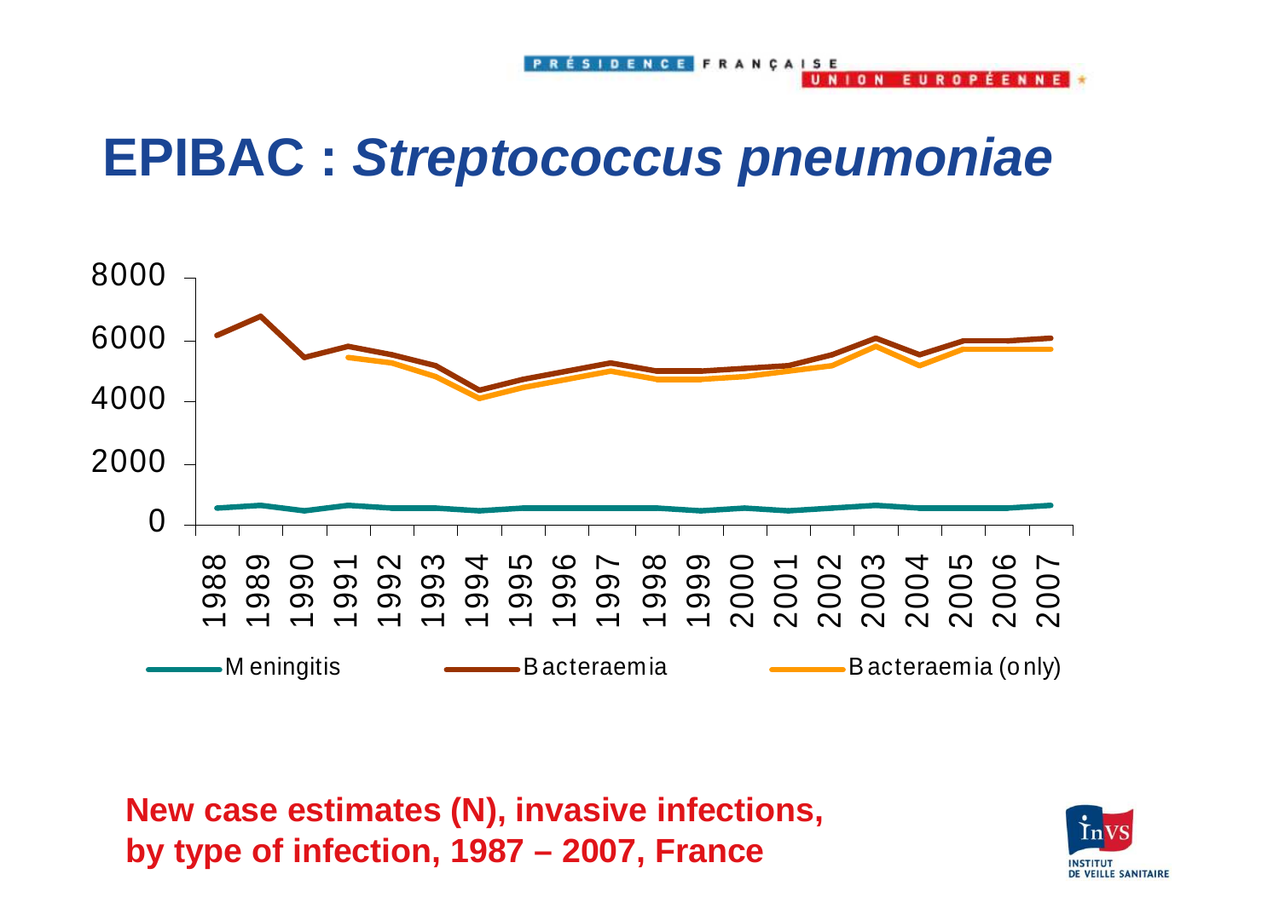**NION** 

EILB

 $\mathbf{a}$ 

## **EPIBAC : Streptococcus pneumoniae**



**New case estimates (N), invasive infections, by type of infection, 1987 – 2007, France** 

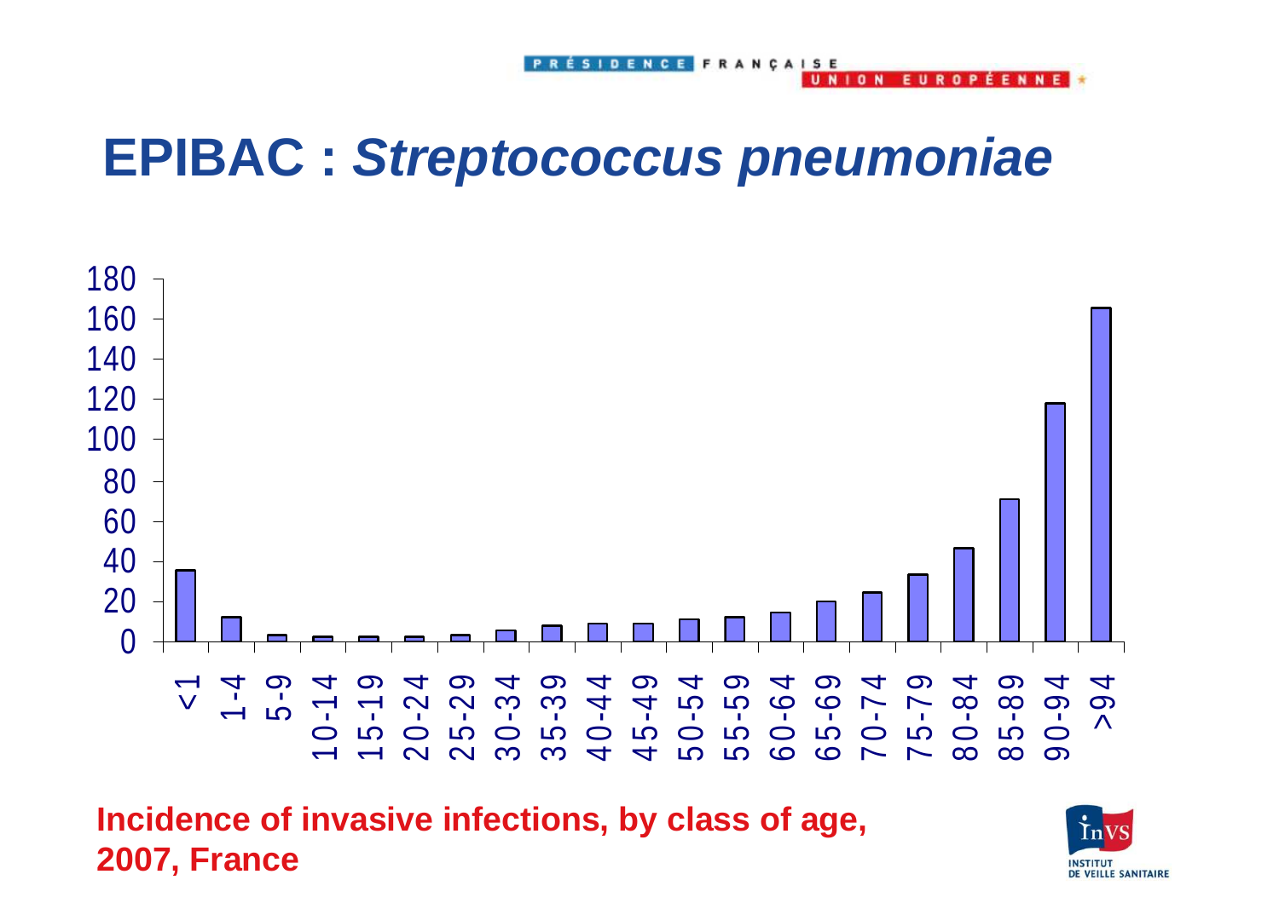**NION** 

EILB

 $\mathbf{r}$ 

**EENN** 

#### **EPIBAC : Streptococcus pneumoniae**



**Incidence of invasive infections, by class of age, 2007, France** 

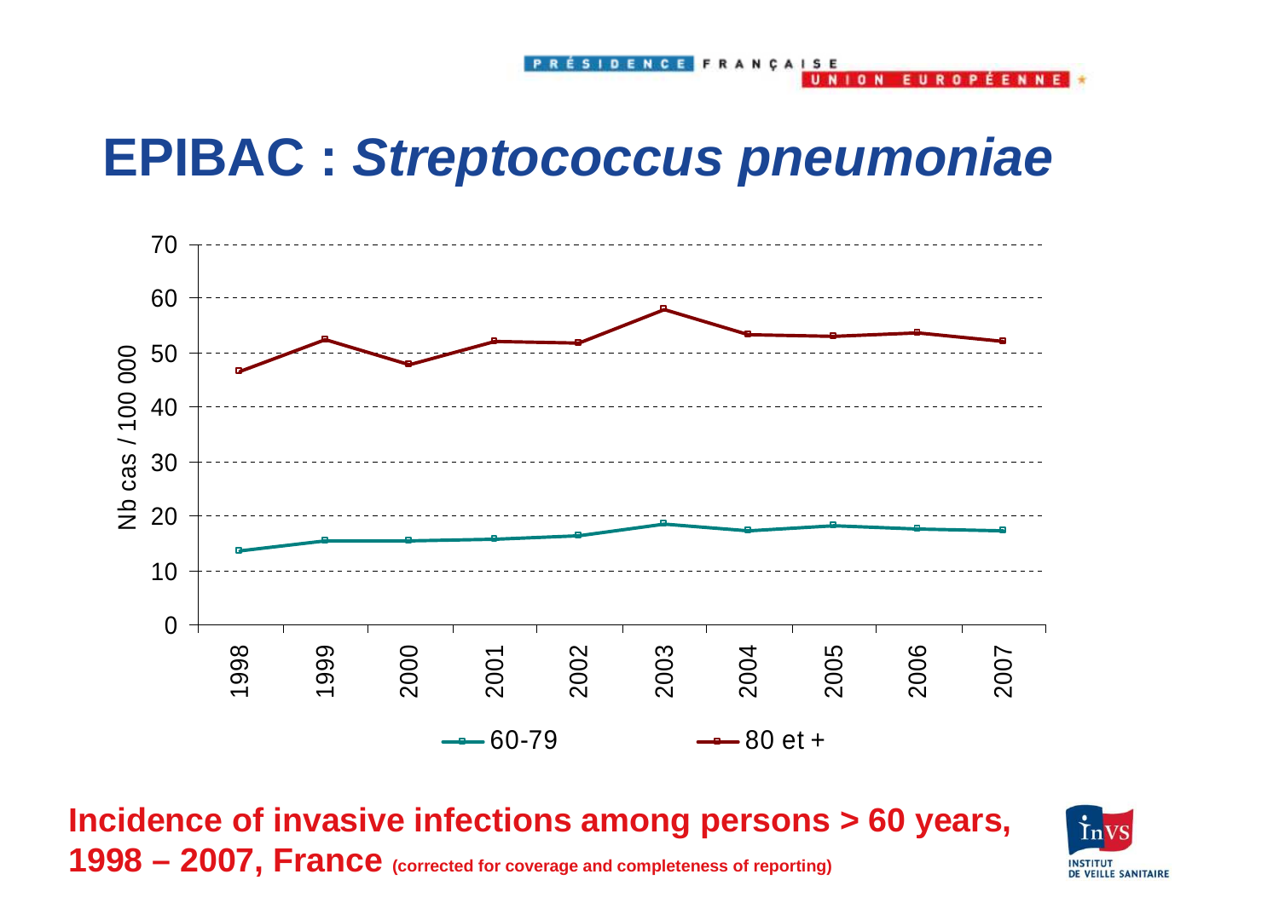## **EPIBAC : Streptococcus pneumoniae**



**Incidence of invasive infections among persons > 60 years, 1998 – 2007, France (corrected for coverage and completeness of reporting)** 

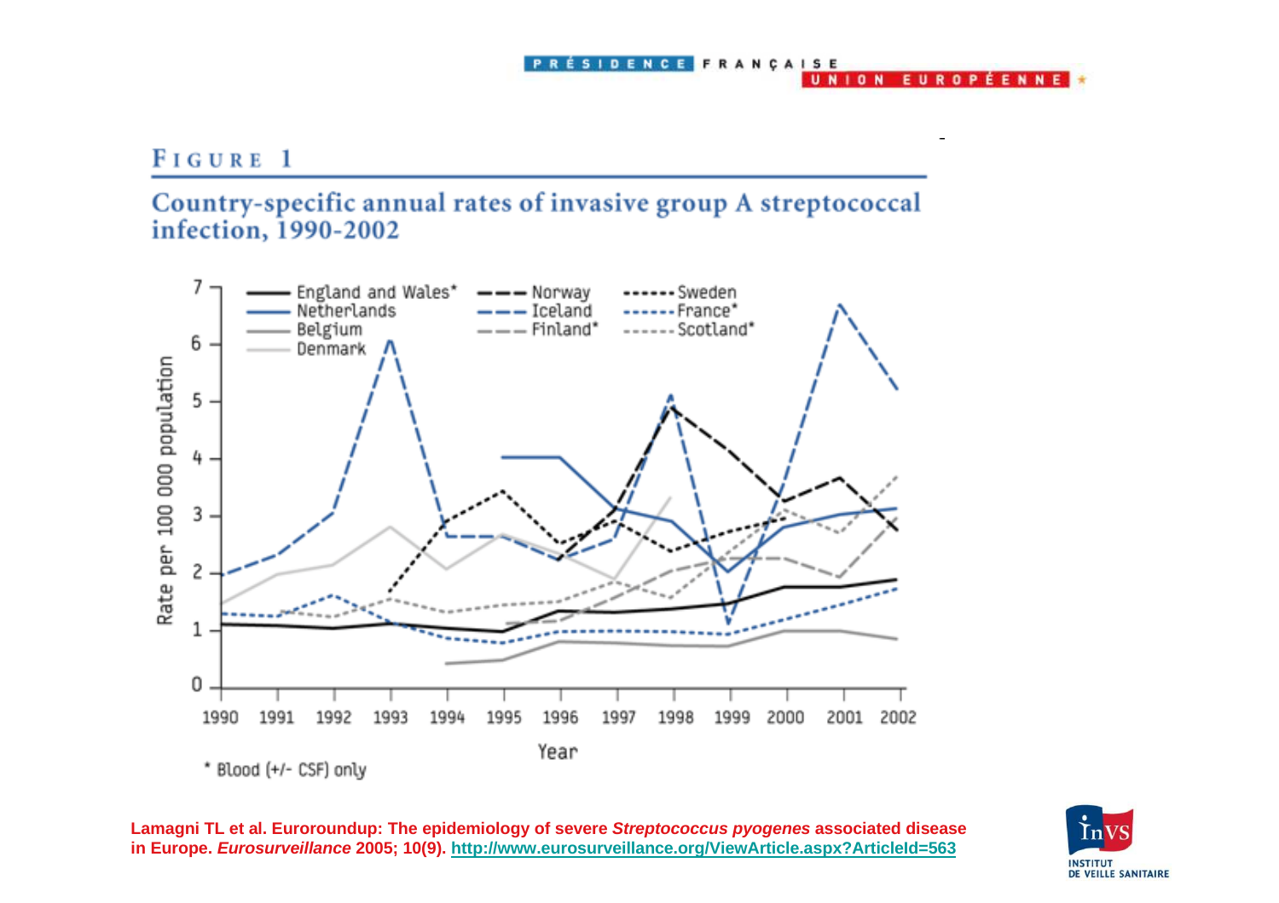#### PRÉSIDENCE FRANÇAISE UNION EUROPÉENNE

#### FIGURE 1

#### Country-specific annual rates of invasive group A streptococcal infection, 1990-2002



**Lamagni TL et al. Euroroundup: The epidemiology of severe Streptococcus pyogenes associated disease in Europe. Eurosurveillance 2005; 10(9). http://www.eurosurveillance.org/ViewArticle.aspx?ArticleId=563**

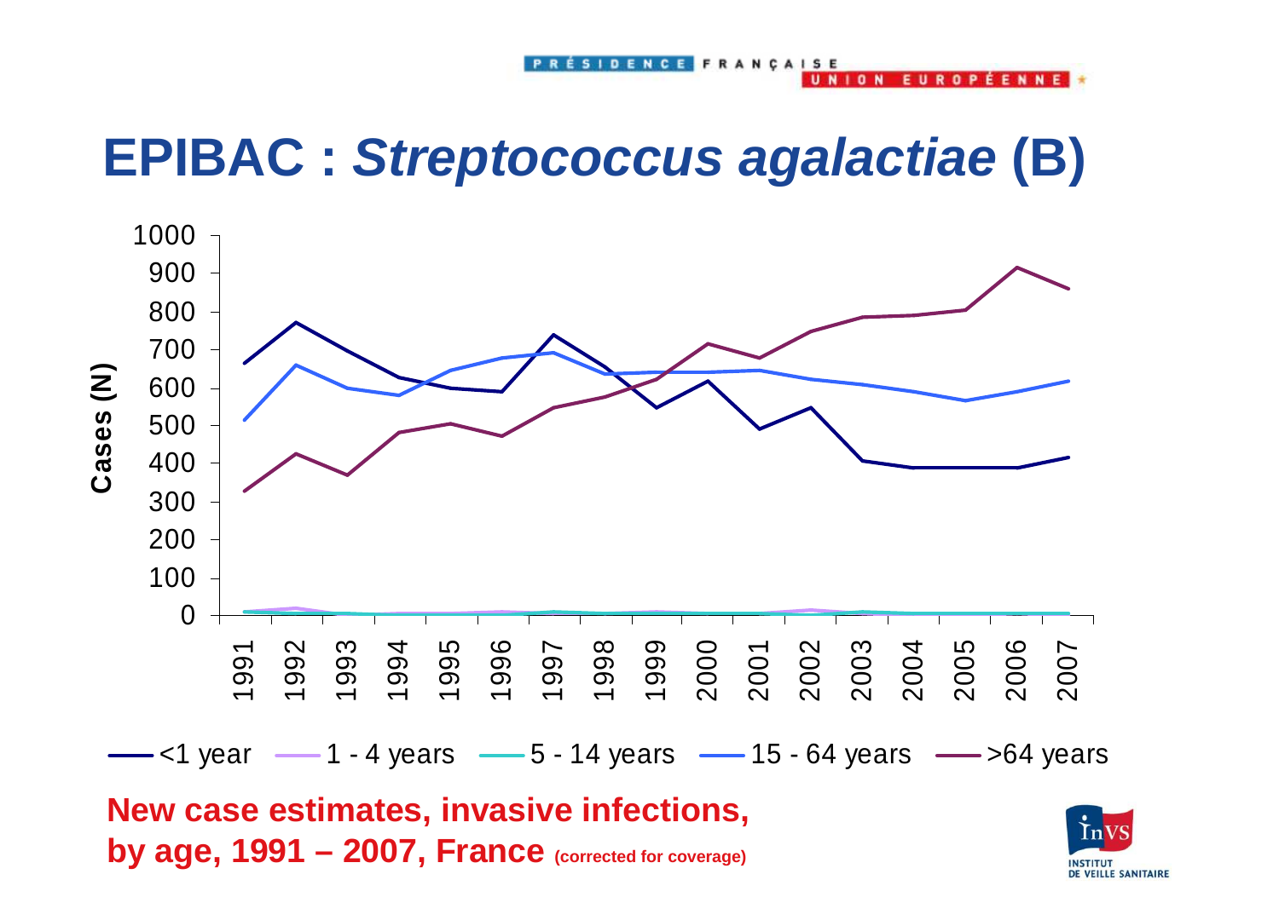## **EPIBAC : Streptococcus agalactiae (B)**



**New case estimates, invasive infections, by age, 1991 – 2007, France (corrected for coverage)** 



**FUROPFFNNF** 

**NION**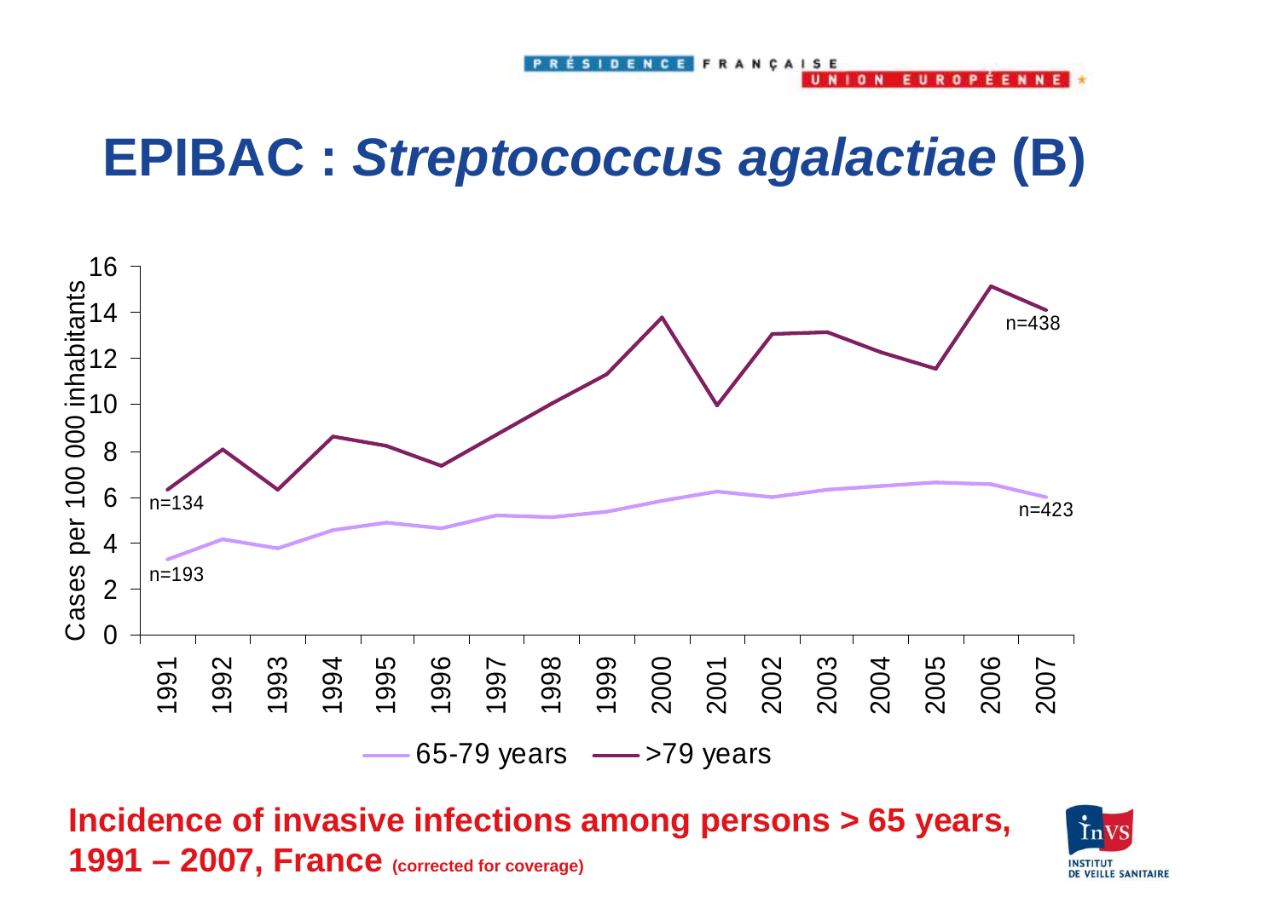## **EPIBAC : Streptococcus agalactiae (B)**



**Incidence of invasive infections among persons > 65 years, 1991 – 2007, France (corrected for coverage)** 



**FFNNF** 

 $\mathbf{a}$ 

 $1<sub>n</sub>$  N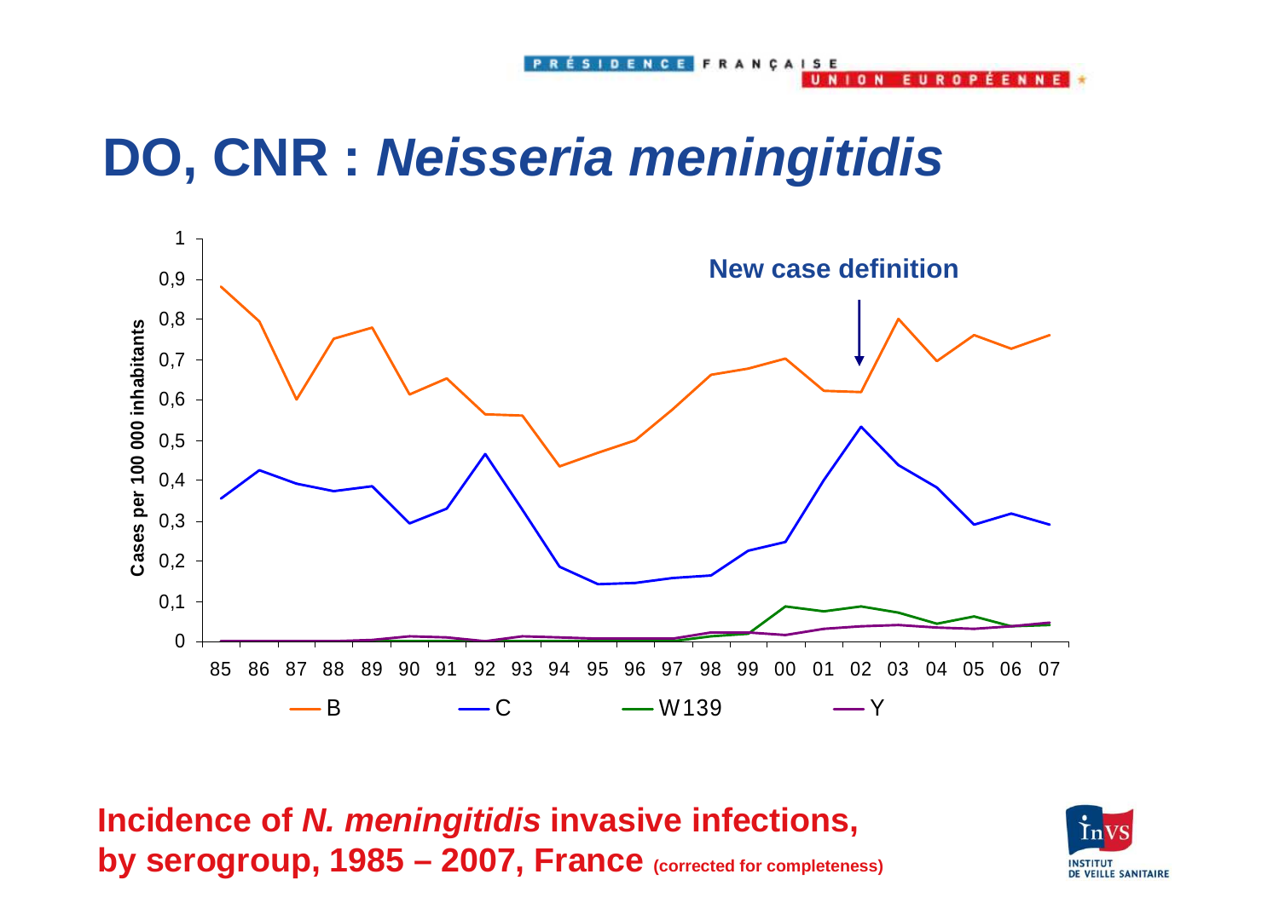## **DO, CNR : Neisseria meningitidis**



SIDENCE FRANCAISE

**NION** 

FILEND

**FFNN** 

**Incidence of N. meningitidis invasive infections, by serogroup, 1985 – 2007, France (corrected for completeness)** 

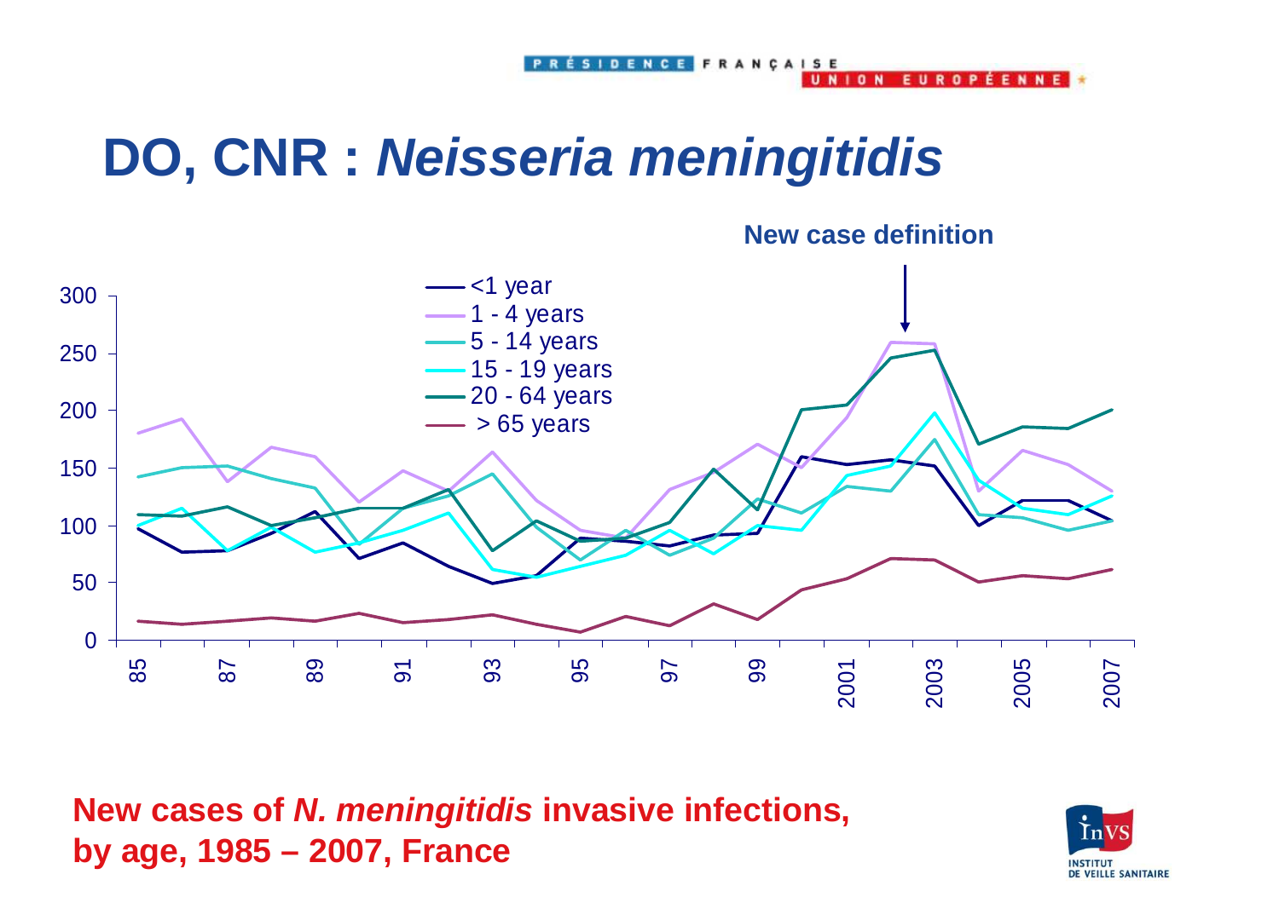## **DO, CNR : Neisseria meningitidis**



ÉSIDENCE FRANCAISE

**UNION** 

**FUROPFFNNF** 

**New cases of N. meningitidis invasive infections, by age, 1985 – 2007, France**